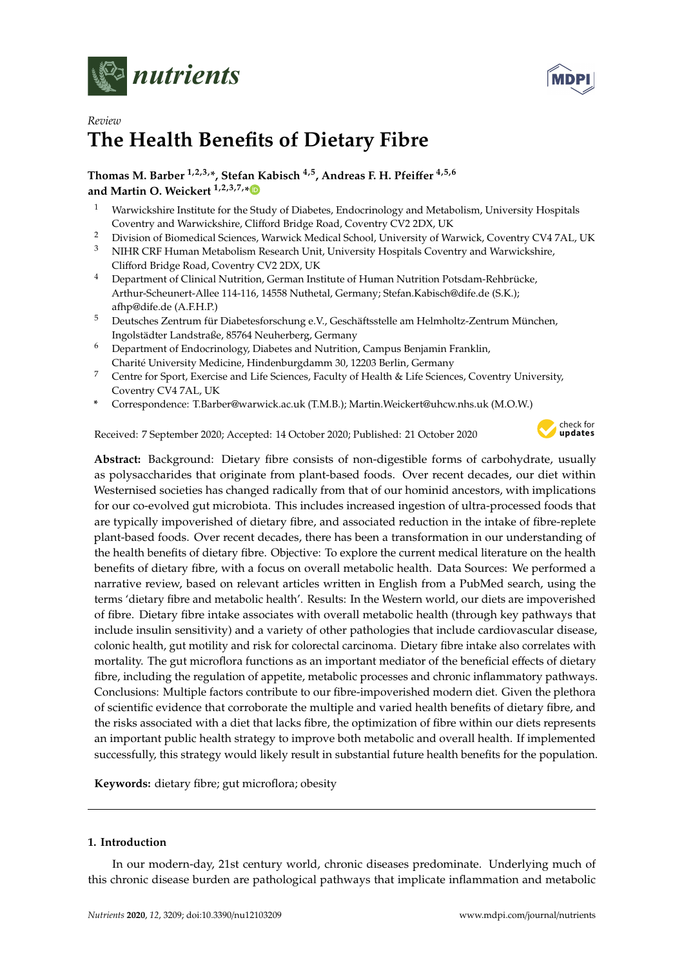



# *Review* **The Health Benefits of Dietary Fibre**

# **Thomas M. Barber 1,2,3,\*, Stefan Kabisch 4,5, Andreas F. H. Pfei**ff**er 4,5,6 and Martin O. Weickert 1,2,3,7,[\\*](https://orcid.org/0000-0002-4070-8164)**

- <sup>1</sup> Warwickshire Institute for the Study of Diabetes, Endocrinology and Metabolism, University Hospitals Coventry and Warwickshire, Clifford Bridge Road, Coventry CV2 2DX, UK
- <sup>2</sup> Division of Biomedical Sciences, Warwick Medical School, University of Warwick, Coventry CV4 7AL, UK<br><sup>3</sup> NIUE CRE Universe Matchelian: Research Unit University Unwitche Coventry on d Warwickships
- <sup>3</sup> NIHR CRF Human Metabolism Research Unit, University Hospitals Coventry and Warwickshire, Clifford Bridge Road, Coventry CV2 2DX, UK
- <sup>4</sup> Department of Clinical Nutrition, German Institute of Human Nutrition Potsdam-Rehbrücke, Arthur-Scheunert-Allee 114-116, 14558 Nuthetal, Germany; Stefan.Kabisch@dife.de (S.K.); afhp@dife.de (A.F.H.P.)
- <sup>5</sup> Deutsches Zentrum für Diabetesforschung e.V., Geschäftsstelle am Helmholtz-Zentrum München, Ingolstädter Landstraße, 85764 Neuherberg, Germany
- <sup>6</sup> Department of Endocrinology, Diabetes and Nutrition, Campus Benjamin Franklin, Charité University Medicine, Hindenburgdamm 30, 12203 Berlin, Germany
- <sup>7</sup> Centre for Sport, Exercise and Life Sciences, Faculty of Health & Life Sciences, Coventry University, Coventry CV4 7AL, UK
- **\*** Correspondence: T.Barber@warwick.ac.uk (T.M.B.); Martin.Weickert@uhcw.nhs.uk (M.O.W.)

Received: 7 September 2020; Accepted: 14 October 2020; Published: 21 October 2020



**Abstract:** Background: Dietary fibre consists of non-digestible forms of carbohydrate, usually as polysaccharides that originate from plant-based foods. Over recent decades, our diet within Westernised societies has changed radically from that of our hominid ancestors, with implications for our co-evolved gut microbiota. This includes increased ingestion of ultra-processed foods that are typically impoverished of dietary fibre, and associated reduction in the intake of fibre-replete plant-based foods. Over recent decades, there has been a transformation in our understanding of the health benefits of dietary fibre. Objective: To explore the current medical literature on the health benefits of dietary fibre, with a focus on overall metabolic health. Data Sources: We performed a narrative review, based on relevant articles written in English from a PubMed search, using the terms 'dietary fibre and metabolic health'. Results: In the Western world, our diets are impoverished of fibre. Dietary fibre intake associates with overall metabolic health (through key pathways that include insulin sensitivity) and a variety of other pathologies that include cardiovascular disease, colonic health, gut motility and risk for colorectal carcinoma. Dietary fibre intake also correlates with mortality. The gut microflora functions as an important mediator of the beneficial effects of dietary fibre, including the regulation of appetite, metabolic processes and chronic inflammatory pathways. Conclusions: Multiple factors contribute to our fibre-impoverished modern diet. Given the plethora of scientific evidence that corroborate the multiple and varied health benefits of dietary fibre, and the risks associated with a diet that lacks fibre, the optimization of fibre within our diets represents an important public health strategy to improve both metabolic and overall health. If implemented successfully, this strategy would likely result in substantial future health benefits for the population.

**Keywords:** dietary fibre; gut microflora; obesity

# **1. Introduction**

In our modern-day, 21st century world, chronic diseases predominate. Underlying much of this chronic disease burden are pathological pathways that implicate inflammation and metabolic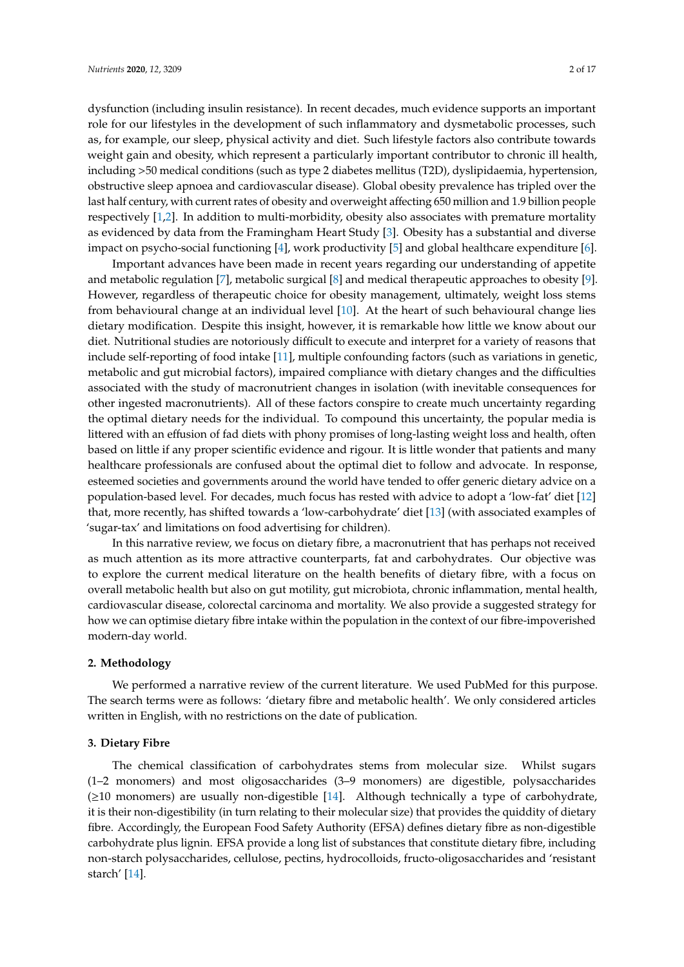dysfunction (including insulin resistance). In recent decades, much evidence supports an important role for our lifestyles in the development of such inflammatory and dysmetabolic processes, such as, for example, our sleep, physical activity and diet. Such lifestyle factors also contribute towards weight gain and obesity, which represent a particularly important contributor to chronic ill health, including >50 medical conditions (such as type 2 diabetes mellitus (T2D), dyslipidaemia, hypertension, obstructive sleep apnoea and cardiovascular disease). Global obesity prevalence has tripled over the last half century, with current rates of obesity and overweight affecting 650 million and 1.9 billion people respectively [\[1,](#page-11-0)[2\]](#page-11-1). In addition to multi-morbidity, obesity also associates with premature mortality as evidenced by data from the Framingham Heart Study [\[3\]](#page-11-2). Obesity has a substantial and diverse impact on psycho-social functioning [\[4\]](#page-11-3), work productivity [\[5\]](#page-11-4) and global healthcare expenditure [\[6\]](#page-12-0).

Important advances have been made in recent years regarding our understanding of appetite and metabolic regulation [\[7\]](#page-12-1), metabolic surgical [\[8\]](#page-12-2) and medical therapeutic approaches to obesity [\[9\]](#page-12-3). However, regardless of therapeutic choice for obesity management, ultimately, weight loss stems from behavioural change at an individual level [\[10\]](#page-12-4). At the heart of such behavioural change lies dietary modification. Despite this insight, however, it is remarkable how little we know about our diet. Nutritional studies are notoriously difficult to execute and interpret for a variety of reasons that include self-reporting of food intake [\[11\]](#page-12-5), multiple confounding factors (such as variations in genetic, metabolic and gut microbial factors), impaired compliance with dietary changes and the difficulties associated with the study of macronutrient changes in isolation (with inevitable consequences for other ingested macronutrients). All of these factors conspire to create much uncertainty regarding the optimal dietary needs for the individual. To compound this uncertainty, the popular media is littered with an effusion of fad diets with phony promises of long-lasting weight loss and health, often based on little if any proper scientific evidence and rigour. It is little wonder that patients and many healthcare professionals are confused about the optimal diet to follow and advocate. In response, esteemed societies and governments around the world have tended to offer generic dietary advice on a population-based level. For decades, much focus has rested with advice to adopt a 'low-fat' diet [\[12\]](#page-12-6) that, more recently, has shifted towards a 'low-carbohydrate' diet [\[13\]](#page-12-7) (with associated examples of 'sugar-tax' and limitations on food advertising for children).

In this narrative review, we focus on dietary fibre, a macronutrient that has perhaps not received as much attention as its more attractive counterparts, fat and carbohydrates. Our objective was to explore the current medical literature on the health benefits of dietary fibre, with a focus on overall metabolic health but also on gut motility, gut microbiota, chronic inflammation, mental health, cardiovascular disease, colorectal carcinoma and mortality. We also provide a suggested strategy for how we can optimise dietary fibre intake within the population in the context of our fibre-impoverished modern-day world.

# **2. Methodology**

We performed a narrative review of the current literature. We used PubMed for this purpose. The search terms were as follows: 'dietary fibre and metabolic health'. We only considered articles written in English, with no restrictions on the date of publication.

# **3. Dietary Fibre**

The chemical classification of carbohydrates stems from molecular size. Whilst sugars (1–2 monomers) and most oligosaccharides (3–9 monomers) are digestible, polysaccharides (≥10 monomers) are usually non-digestible [\[14\]](#page-12-8). Although technically a type of carbohydrate, it is their non-digestibility (in turn relating to their molecular size) that provides the quiddity of dietary fibre. Accordingly, the European Food Safety Authority (EFSA) defines dietary fibre as non-digestible carbohydrate plus lignin. EFSA provide a long list of substances that constitute dietary fibre, including non-starch polysaccharides, cellulose, pectins, hydrocolloids, fructo-oligosaccharides and 'resistant starch' [\[14\]](#page-12-8).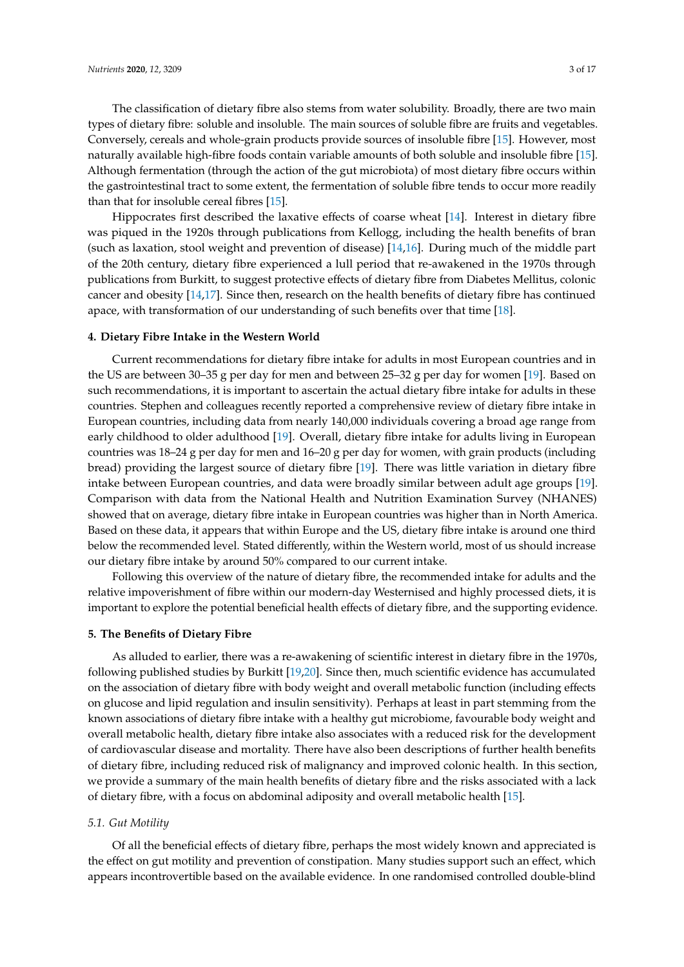The classification of dietary fibre also stems from water solubility. Broadly, there are two main types of dietary fibre: soluble and insoluble. The main sources of soluble fibre are fruits and vegetables. Conversely, cereals and whole-grain products provide sources of insoluble fibre [\[15\]](#page-12-9). However, most naturally available high-fibre foods contain variable amounts of both soluble and insoluble fibre [\[15\]](#page-12-9). Although fermentation (through the action of the gut microbiota) of most dietary fibre occurs within the gastrointestinal tract to some extent, the fermentation of soluble fibre tends to occur more readily than that for insoluble cereal fibres [\[15\]](#page-12-9).

Hippocrates first described the laxative effects of coarse wheat [\[14\]](#page-12-8). Interest in dietary fibre was piqued in the 1920s through publications from Kellogg, including the health benefits of bran (such as laxation, stool weight and prevention of disease) [\[14,](#page-12-8)[16\]](#page-12-10). During much of the middle part of the 20th century, dietary fibre experienced a lull period that re-awakened in the 1970s through publications from Burkitt, to suggest protective effects of dietary fibre from Diabetes Mellitus, colonic cancer and obesity [\[14,](#page-12-8)[17\]](#page-12-11). Since then, research on the health benefits of dietary fibre has continued apace, with transformation of our understanding of such benefits over that time [\[18\]](#page-12-12).

#### **4. Dietary Fibre Intake in the Western World**

Current recommendations for dietary fibre intake for adults in most European countries and in the US are between 30–35 g per day for men and between 25–32 g per day for women [\[19\]](#page-12-13). Based on such recommendations, it is important to ascertain the actual dietary fibre intake for adults in these countries. Stephen and colleagues recently reported a comprehensive review of dietary fibre intake in European countries, including data from nearly 140,000 individuals covering a broad age range from early childhood to older adulthood [\[19\]](#page-12-13). Overall, dietary fibre intake for adults living in European countries was 18–24 g per day for men and 16–20 g per day for women, with grain products (including bread) providing the largest source of dietary fibre [\[19\]](#page-12-13). There was little variation in dietary fibre intake between European countries, and data were broadly similar between adult age groups [\[19\]](#page-12-13). Comparison with data from the National Health and Nutrition Examination Survey (NHANES) showed that on average, dietary fibre intake in European countries was higher than in North America. Based on these data, it appears that within Europe and the US, dietary fibre intake is around one third below the recommended level. Stated differently, within the Western world, most of us should increase our dietary fibre intake by around 50% compared to our current intake.

Following this overview of the nature of dietary fibre, the recommended intake for adults and the relative impoverishment of fibre within our modern-day Westernised and highly processed diets, it is important to explore the potential beneficial health effects of dietary fibre, and the supporting evidence.

## **5. The Benefits of Dietary Fibre**

As alluded to earlier, there was a re-awakening of scientific interest in dietary fibre in the 1970s, following published studies by Burkitt [\[19](#page-12-13)[,20\]](#page-12-14). Since then, much scientific evidence has accumulated on the association of dietary fibre with body weight and overall metabolic function (including effects on glucose and lipid regulation and insulin sensitivity). Perhaps at least in part stemming from the known associations of dietary fibre intake with a healthy gut microbiome, favourable body weight and overall metabolic health, dietary fibre intake also associates with a reduced risk for the development of cardiovascular disease and mortality. There have also been descriptions of further health benefits of dietary fibre, including reduced risk of malignancy and improved colonic health. In this section, we provide a summary of the main health benefits of dietary fibre and the risks associated with a lack of dietary fibre, with a focus on abdominal adiposity and overall metabolic health [\[15\]](#page-12-9).

#### *5.1. Gut Motility*

Of all the beneficial effects of dietary fibre, perhaps the most widely known and appreciated is the effect on gut motility and prevention of constipation. Many studies support such an effect, which appears incontrovertible based on the available evidence. In one randomised controlled double-blind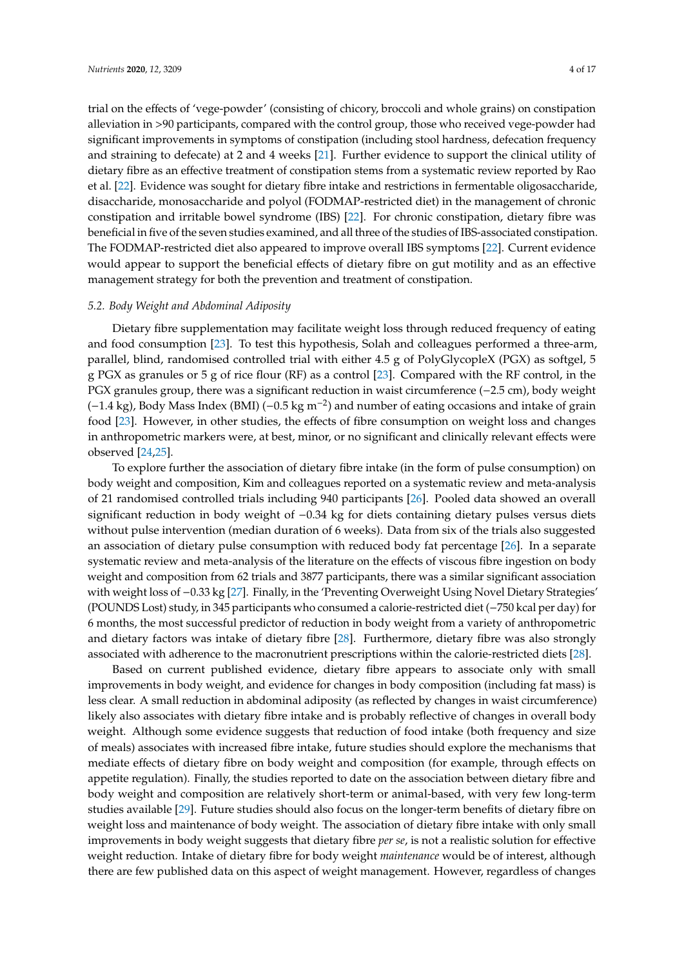trial on the effects of 'vege-powder' (consisting of chicory, broccoli and whole grains) on constipation alleviation in >90 participants, compared with the control group, those who received vege-powder had significant improvements in symptoms of constipation (including stool hardness, defecation frequency and straining to defecate) at 2 and 4 weeks [\[21\]](#page-12-15). Further evidence to support the clinical utility of dietary fibre as an effective treatment of constipation stems from a systematic review reported by Rao et al. [\[22\]](#page-12-16). Evidence was sought for dietary fibre intake and restrictions in fermentable oligosaccharide, disaccharide, monosaccharide and polyol (FODMAP-restricted diet) in the management of chronic constipation and irritable bowel syndrome (IBS) [\[22\]](#page-12-16). For chronic constipation, dietary fibre was beneficial in five of the seven studies examined, and all three of the studies of IBS-associated constipation. The FODMAP-restricted diet also appeared to improve overall IBS symptoms [\[22\]](#page-12-16). Current evidence would appear to support the beneficial effects of dietary fibre on gut motility and as an effective management strategy for both the prevention and treatment of constipation.

## *5.2. Body Weight and Abdominal Adiposity*

Dietary fibre supplementation may facilitate weight loss through reduced frequency of eating and food consumption [\[23\]](#page-12-17). To test this hypothesis, Solah and colleagues performed a three-arm, parallel, blind, randomised controlled trial with either 4.5 g of PolyGlycopleX (PGX) as softgel, 5 g PGX as granules or 5 g of rice flour (RF) as a control [\[23\]](#page-12-17). Compared with the RF control, in the PGX granules group, there was a significant reduction in waist circumference (-2.5 cm), body weight (−1.4 kg), Body Mass Index (BMI) (−0.5 kg m−<sup>2</sup> ) and number of eating occasions and intake of grain food [\[23\]](#page-12-17). However, in other studies, the effects of fibre consumption on weight loss and changes in anthropometric markers were, at best, minor, or no significant and clinically relevant effects were observed [\[24,](#page-12-18)[25\]](#page-12-19).

To explore further the association of dietary fibre intake (in the form of pulse consumption) on body weight and composition, Kim and colleagues reported on a systematic review and meta-analysis of 21 randomised controlled trials including 940 participants [\[26\]](#page-12-20). Pooled data showed an overall significant reduction in body weight of −0.34 kg for diets containing dietary pulses versus diets without pulse intervention (median duration of 6 weeks). Data from six of the trials also suggested an association of dietary pulse consumption with reduced body fat percentage [\[26\]](#page-12-20). In a separate systematic review and meta-analysis of the literature on the effects of viscous fibre ingestion on body weight and composition from 62 trials and 3877 participants, there was a similar significant association with weight loss of −0.33 kg [\[27\]](#page-12-21). Finally, in the 'Preventing Overweight Using Novel Dietary Strategies' (POUNDS Lost) study, in 345 participants who consumed a calorie-restricted diet (−750 kcal per day) for 6 months, the most successful predictor of reduction in body weight from a variety of anthropometric and dietary factors was intake of dietary fibre [\[28\]](#page-12-22). Furthermore, dietary fibre was also strongly associated with adherence to the macronutrient prescriptions within the calorie-restricted diets [\[28\]](#page-12-22).

Based on current published evidence, dietary fibre appears to associate only with small improvements in body weight, and evidence for changes in body composition (including fat mass) is less clear. A small reduction in abdominal adiposity (as reflected by changes in waist circumference) likely also associates with dietary fibre intake and is probably reflective of changes in overall body weight. Although some evidence suggests that reduction of food intake (both frequency and size of meals) associates with increased fibre intake, future studies should explore the mechanisms that mediate effects of dietary fibre on body weight and composition (for example, through effects on appetite regulation). Finally, the studies reported to date on the association between dietary fibre and body weight and composition are relatively short-term or animal-based, with very few long-term studies available [\[29\]](#page-13-0). Future studies should also focus on the longer-term benefits of dietary fibre on weight loss and maintenance of body weight. The association of dietary fibre intake with only small improvements in body weight suggests that dietary fibre *per se*, is not a realistic solution for effective weight reduction. Intake of dietary fibre for body weight *maintenance* would be of interest, although there are few published data on this aspect of weight management. However, regardless of changes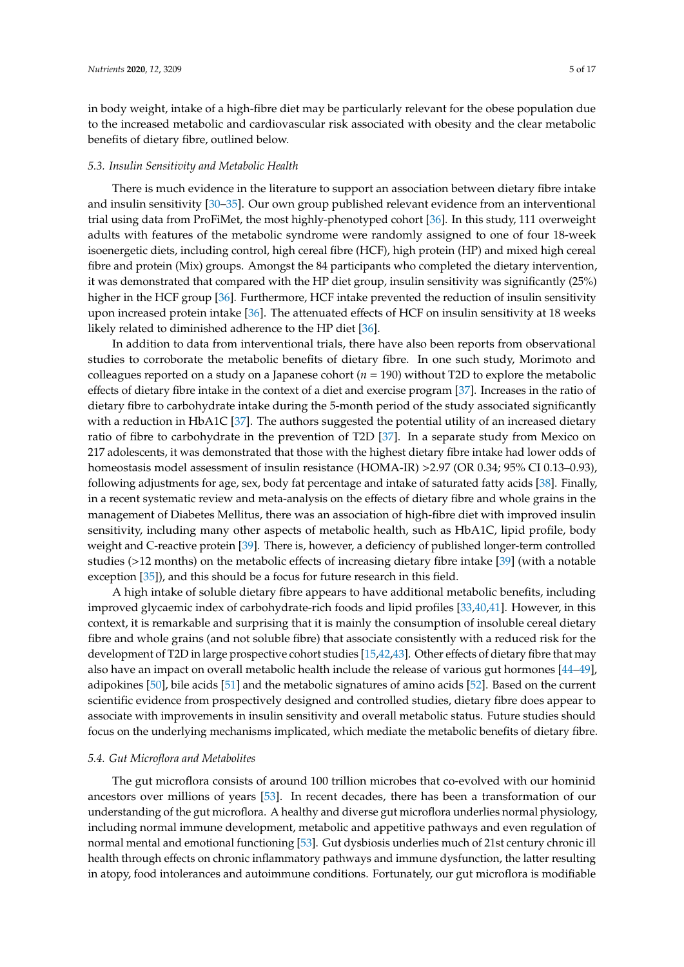in body weight, intake of a high-fibre diet may be particularly relevant for the obese population due to the increased metabolic and cardiovascular risk associated with obesity and the clear metabolic benefits of dietary fibre, outlined below.

#### *5.3. Insulin Sensitivity and Metabolic Health*

There is much evidence in the literature to support an association between dietary fibre intake and insulin sensitivity [\[30–](#page-13-1)[35\]](#page-13-2). Our own group published relevant evidence from an interventional trial using data from ProFiMet, the most highly-phenotyped cohort [\[36\]](#page-13-3). In this study, 111 overweight adults with features of the metabolic syndrome were randomly assigned to one of four 18-week isoenergetic diets, including control, high cereal fibre (HCF), high protein (HP) and mixed high cereal fibre and protein (Mix) groups. Amongst the 84 participants who completed the dietary intervention, it was demonstrated that compared with the HP diet group, insulin sensitivity was significantly (25%) higher in the HCF group [\[36\]](#page-13-3). Furthermore, HCF intake prevented the reduction of insulin sensitivity upon increased protein intake [\[36\]](#page-13-3). The attenuated effects of HCF on insulin sensitivity at 18 weeks likely related to diminished adherence to the HP diet [\[36\]](#page-13-3).

In addition to data from interventional trials, there have also been reports from observational studies to corroborate the metabolic benefits of dietary fibre. In one such study, Morimoto and colleagues reported on a study on a Japanese cohort (*n* = 190) without T2D to explore the metabolic effects of dietary fibre intake in the context of a diet and exercise program [\[37\]](#page-13-4). Increases in the ratio of dietary fibre to carbohydrate intake during the 5-month period of the study associated significantly with a reduction in HbA1C [\[37\]](#page-13-4). The authors suggested the potential utility of an increased dietary ratio of fibre to carbohydrate in the prevention of T2D [\[37\]](#page-13-4). In a separate study from Mexico on 217 adolescents, it was demonstrated that those with the highest dietary fibre intake had lower odds of homeostasis model assessment of insulin resistance (HOMA-IR) >2.97 (OR 0.34; 95% CI 0.13–0.93), following adjustments for age, sex, body fat percentage and intake of saturated fatty acids [\[38\]](#page-13-5). Finally, in a recent systematic review and meta-analysis on the effects of dietary fibre and whole grains in the management of Diabetes Mellitus, there was an association of high-fibre diet with improved insulin sensitivity, including many other aspects of metabolic health, such as HbA1C, lipid profile, body weight and C-reactive protein [\[39\]](#page-13-6). There is, however, a deficiency of published longer-term controlled studies (>12 months) on the metabolic effects of increasing dietary fibre intake [\[39\]](#page-13-6) (with a notable exception [\[35\]](#page-13-2)), and this should be a focus for future research in this field.

A high intake of soluble dietary fibre appears to have additional metabolic benefits, including improved glycaemic index of carbohydrate-rich foods and lipid profiles [\[33](#page-13-7)[,40](#page-13-8)[,41\]](#page-13-9). However, in this context, it is remarkable and surprising that it is mainly the consumption of insoluble cereal dietary fibre and whole grains (and not soluble fibre) that associate consistently with a reduced risk for the development of T2D in large prospective cohort studies [\[15](#page-12-9)[,42,](#page-13-10)[43\]](#page-13-11). Other effects of dietary fibre that may also have an impact on overall metabolic health include the release of various gut hormones [\[44](#page-13-12)[–49\]](#page-14-0), adipokines [\[50\]](#page-14-1), bile acids [\[51\]](#page-14-2) and the metabolic signatures of amino acids [\[52\]](#page-14-3). Based on the current scientific evidence from prospectively designed and controlled studies, dietary fibre does appear to associate with improvements in insulin sensitivity and overall metabolic status. Future studies should focus on the underlying mechanisms implicated, which mediate the metabolic benefits of dietary fibre.

## *5.4. Gut Microflora and Metabolites*

The gut microflora consists of around 100 trillion microbes that co-evolved with our hominid ancestors over millions of years [\[53\]](#page-14-4). In recent decades, there has been a transformation of our understanding of the gut microflora. A healthy and diverse gut microflora underlies normal physiology, including normal immune development, metabolic and appetitive pathways and even regulation of normal mental and emotional functioning [\[53\]](#page-14-4). Gut dysbiosis underlies much of 21st century chronic ill health through effects on chronic inflammatory pathways and immune dysfunction, the latter resulting in atopy, food intolerances and autoimmune conditions. Fortunately, our gut microflora is modifiable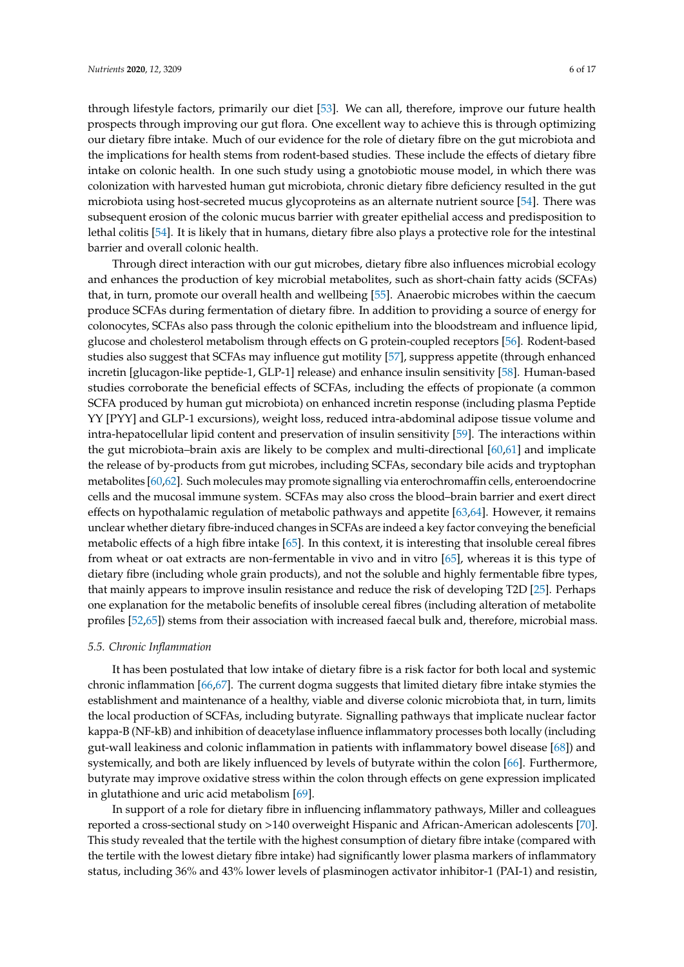through lifestyle factors, primarily our diet [\[53\]](#page-14-4). We can all, therefore, improve our future health prospects through improving our gut flora. One excellent way to achieve this is through optimizing our dietary fibre intake. Much of our evidence for the role of dietary fibre on the gut microbiota and the implications for health stems from rodent-based studies. These include the effects of dietary fibre intake on colonic health. In one such study using a gnotobiotic mouse model, in which there was colonization with harvested human gut microbiota, chronic dietary fibre deficiency resulted in the gut microbiota using host-secreted mucus glycoproteins as an alternate nutrient source [\[54\]](#page-14-5). There was subsequent erosion of the colonic mucus barrier with greater epithelial access and predisposition to lethal colitis [\[54\]](#page-14-5). It is likely that in humans, dietary fibre also plays a protective role for the intestinal barrier and overall colonic health.

Through direct interaction with our gut microbes, dietary fibre also influences microbial ecology and enhances the production of key microbial metabolites, such as short-chain fatty acids (SCFAs) that, in turn, promote our overall health and wellbeing [\[55\]](#page-14-6). Anaerobic microbes within the caecum produce SCFAs during fermentation of dietary fibre. In addition to providing a source of energy for colonocytes, SCFAs also pass through the colonic epithelium into the bloodstream and influence lipid, glucose and cholesterol metabolism through effects on G protein-coupled receptors [\[56\]](#page-14-7). Rodent-based studies also suggest that SCFAs may influence gut motility [\[57\]](#page-14-8), suppress appetite (through enhanced incretin [glucagon-like peptide-1, GLP-1] release) and enhance insulin sensitivity [\[58\]](#page-14-9). Human-based studies corroborate the beneficial effects of SCFAs, including the effects of propionate (a common SCFA produced by human gut microbiota) on enhanced incretin response (including plasma Peptide YY [PYY] and GLP-1 excursions), weight loss, reduced intra-abdominal adipose tissue volume and intra-hepatocellular lipid content and preservation of insulin sensitivity [\[59\]](#page-14-10). The interactions within the gut microbiota–brain axis are likely to be complex and multi-directional [\[60,](#page-15-0)[61\]](#page-15-1) and implicate the release of by-products from gut microbes, including SCFAs, secondary bile acids and tryptophan metabolites [\[60](#page-15-0)[,62\]](#page-15-2). Such molecules may promote signalling via enterochromaffin cells, enteroendocrine cells and the mucosal immune system. SCFAs may also cross the blood–brain barrier and exert direct effects on hypothalamic regulation of metabolic pathways and appetite [\[63,](#page-15-3)[64\]](#page-15-4). However, it remains unclear whether dietary fibre-induced changes in SCFAs are indeed a key factor conveying the beneficial metabolic effects of a high fibre intake [\[65\]](#page-15-5). In this context, it is interesting that insoluble cereal fibres from wheat or oat extracts are non-fermentable in vivo and in vitro [\[65\]](#page-15-5), whereas it is this type of dietary fibre (including whole grain products), and not the soluble and highly fermentable fibre types, that mainly appears to improve insulin resistance and reduce the risk of developing T2D [\[25\]](#page-12-19). Perhaps one explanation for the metabolic benefits of insoluble cereal fibres (including alteration of metabolite profiles [\[52,](#page-14-3)[65\]](#page-15-5)) stems from their association with increased faecal bulk and, therefore, microbial mass.

### *5.5. Chronic Inflammation*

It has been postulated that low intake of dietary fibre is a risk factor for both local and systemic chronic inflammation [\[66,](#page-15-6)[67\]](#page-15-7). The current dogma suggests that limited dietary fibre intake stymies the establishment and maintenance of a healthy, viable and diverse colonic microbiota that, in turn, limits the local production of SCFAs, including butyrate. Signalling pathways that implicate nuclear factor kappa-B (NF-kB) and inhibition of deacetylase influence inflammatory processes both locally (including gut-wall leakiness and colonic inflammation in patients with inflammatory bowel disease [\[68\]](#page-15-8)) and systemically, and both are likely influenced by levels of butyrate within the colon [\[66\]](#page-15-6). Furthermore, butyrate may improve oxidative stress within the colon through effects on gene expression implicated in glutathione and uric acid metabolism [\[69\]](#page-15-9).

In support of a role for dietary fibre in influencing inflammatory pathways, Miller and colleagues reported a cross-sectional study on >140 overweight Hispanic and African-American adolescents [\[70\]](#page-15-10). This study revealed that the tertile with the highest consumption of dietary fibre intake (compared with the tertile with the lowest dietary fibre intake) had significantly lower plasma markers of inflammatory status, including 36% and 43% lower levels of plasminogen activator inhibitor-1 (PAI-1) and resistin,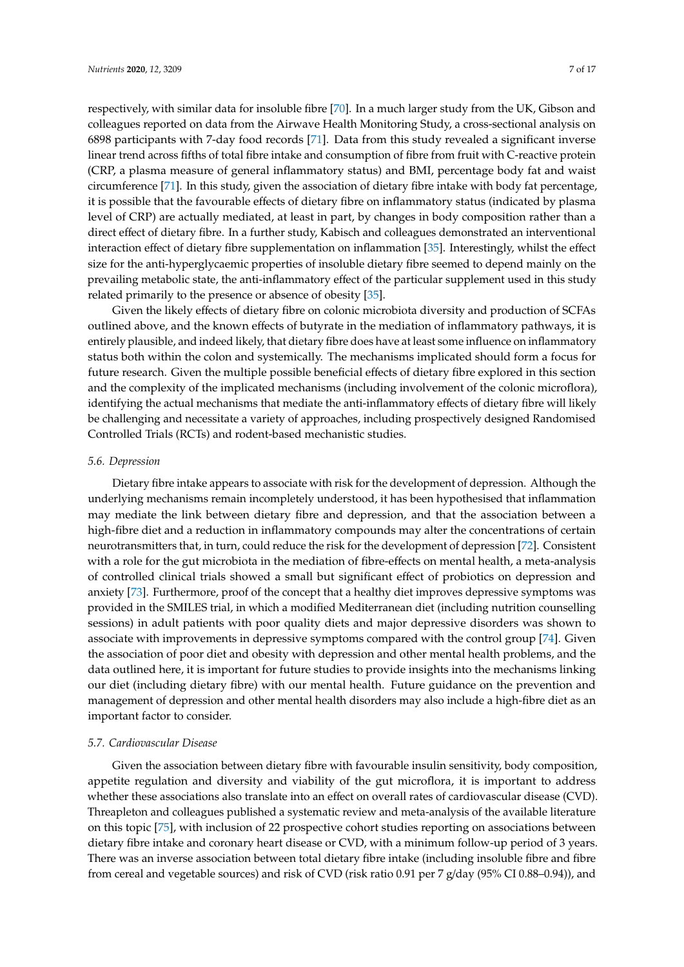respectively, with similar data for insoluble fibre [\[70\]](#page-15-10). In a much larger study from the UK, Gibson and colleagues reported on data from the Airwave Health Monitoring Study, a cross-sectional analysis on 6898 participants with 7-day food records [\[71\]](#page-15-11). Data from this study revealed a significant inverse linear trend across fifths of total fibre intake and consumption of fibre from fruit with C-reactive protein (CRP, a plasma measure of general inflammatory status) and BMI, percentage body fat and waist circumference [\[71\]](#page-15-11). In this study, given the association of dietary fibre intake with body fat percentage, it is possible that the favourable effects of dietary fibre on inflammatory status (indicated by plasma level of CRP) are actually mediated, at least in part, by changes in body composition rather than a direct effect of dietary fibre. In a further study, Kabisch and colleagues demonstrated an interventional interaction effect of dietary fibre supplementation on inflammation [\[35\]](#page-13-2). Interestingly, whilst the effect size for the anti-hyperglycaemic properties of insoluble dietary fibre seemed to depend mainly on the prevailing metabolic state, the anti-inflammatory effect of the particular supplement used in this study related primarily to the presence or absence of obesity [\[35\]](#page-13-2).

Given the likely effects of dietary fibre on colonic microbiota diversity and production of SCFAs outlined above, and the known effects of butyrate in the mediation of inflammatory pathways, it is entirely plausible, and indeed likely, that dietary fibre does have at least some influence on inflammatory status both within the colon and systemically. The mechanisms implicated should form a focus for future research. Given the multiple possible beneficial effects of dietary fibre explored in this section and the complexity of the implicated mechanisms (including involvement of the colonic microflora), identifying the actual mechanisms that mediate the anti-inflammatory effects of dietary fibre will likely be challenging and necessitate a variety of approaches, including prospectively designed Randomised Controlled Trials (RCTs) and rodent-based mechanistic studies.

## *5.6. Depression*

Dietary fibre intake appears to associate with risk for the development of depression. Although the underlying mechanisms remain incompletely understood, it has been hypothesised that inflammation may mediate the link between dietary fibre and depression, and that the association between a high-fibre diet and a reduction in inflammatory compounds may alter the concentrations of certain neurotransmitters that, in turn, could reduce the risk for the development of depression [\[72\]](#page-15-12). Consistent with a role for the gut microbiota in the mediation of fibre-effects on mental health, a meta-analysis of controlled clinical trials showed a small but significant effect of probiotics on depression and anxiety [\[73\]](#page-15-13). Furthermore, proof of the concept that a healthy diet improves depressive symptoms was provided in the SMILES trial, in which a modified Mediterranean diet (including nutrition counselling sessions) in adult patients with poor quality diets and major depressive disorders was shown to associate with improvements in depressive symptoms compared with the control group [\[74\]](#page-15-14). Given the association of poor diet and obesity with depression and other mental health problems, and the data outlined here, it is important for future studies to provide insights into the mechanisms linking our diet (including dietary fibre) with our mental health. Future guidance on the prevention and management of depression and other mental health disorders may also include a high-fibre diet as an important factor to consider.

#### *5.7. Cardiovascular Disease*

Given the association between dietary fibre with favourable insulin sensitivity, body composition, appetite regulation and diversity and viability of the gut microflora, it is important to address whether these associations also translate into an effect on overall rates of cardiovascular disease (CVD). Threapleton and colleagues published a systematic review and meta-analysis of the available literature on this topic [\[75\]](#page-15-15), with inclusion of 22 prospective cohort studies reporting on associations between dietary fibre intake and coronary heart disease or CVD, with a minimum follow-up period of 3 years. There was an inverse association between total dietary fibre intake (including insoluble fibre and fibre from cereal and vegetable sources) and risk of CVD (risk ratio 0.91 per 7 g/day (95% CI 0.88–0.94)), and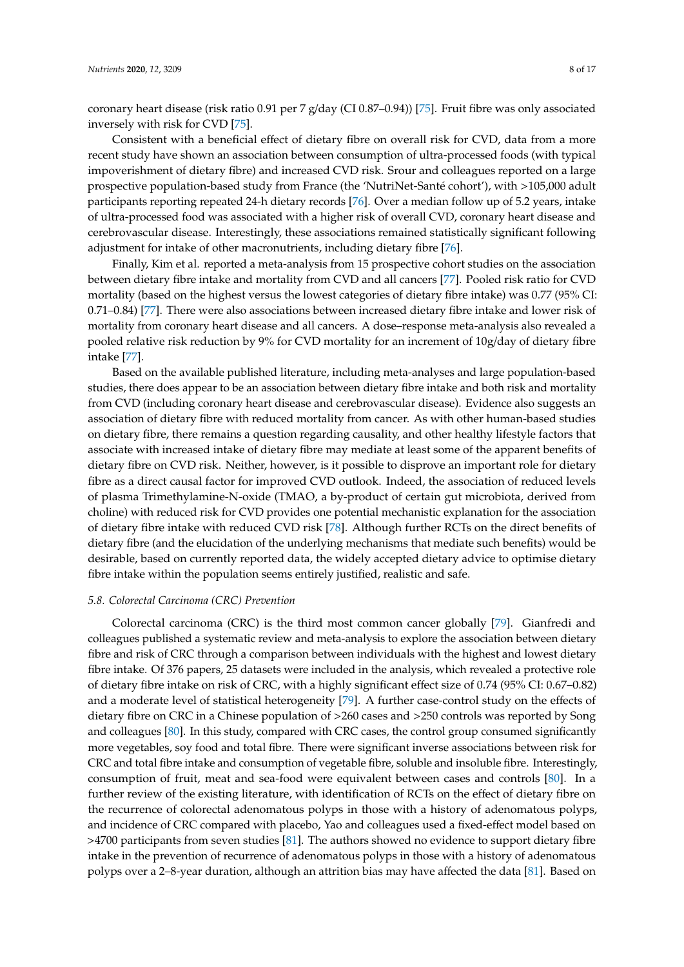coronary heart disease (risk ratio 0.91 per 7 g/day (CI 0.87–0.94)) [\[75\]](#page-15-15). Fruit fibre was only associated inversely with risk for CVD [\[75\]](#page-15-15).

Consistent with a beneficial effect of dietary fibre on overall risk for CVD, data from a more recent study have shown an association between consumption of ultra-processed foods (with typical impoverishment of dietary fibre) and increased CVD risk. Srour and colleagues reported on a large prospective population-based study from France (the 'NutriNet-Santé cohort'), with >105,000 adult participants reporting repeated 24-h dietary records [\[76\]](#page-15-16). Over a median follow up of 5.2 years, intake of ultra-processed food was associated with a higher risk of overall CVD, coronary heart disease and cerebrovascular disease. Interestingly, these associations remained statistically significant following adjustment for intake of other macronutrients, including dietary fibre [\[76\]](#page-15-16).

Finally, Kim et al. reported a meta-analysis from 15 prospective cohort studies on the association between dietary fibre intake and mortality from CVD and all cancers [\[77\]](#page-15-17). Pooled risk ratio for CVD mortality (based on the highest versus the lowest categories of dietary fibre intake) was 0.77 (95% CI: 0.71–0.84) [\[77\]](#page-15-17). There were also associations between increased dietary fibre intake and lower risk of mortality from coronary heart disease and all cancers. A dose–response meta-analysis also revealed a pooled relative risk reduction by 9% for CVD mortality for an increment of 10g/day of dietary fibre intake [\[77\]](#page-15-17).

Based on the available published literature, including meta-analyses and large population-based studies, there does appear to be an association between dietary fibre intake and both risk and mortality from CVD (including coronary heart disease and cerebrovascular disease). Evidence also suggests an association of dietary fibre with reduced mortality from cancer. As with other human-based studies on dietary fibre, there remains a question regarding causality, and other healthy lifestyle factors that associate with increased intake of dietary fibre may mediate at least some of the apparent benefits of dietary fibre on CVD risk. Neither, however, is it possible to disprove an important role for dietary fibre as a direct causal factor for improved CVD outlook. Indeed, the association of reduced levels of plasma Trimethylamine-N-oxide (TMAO, a by-product of certain gut microbiota, derived from choline) with reduced risk for CVD provides one potential mechanistic explanation for the association of dietary fibre intake with reduced CVD risk [\[78\]](#page-16-0). Although further RCTs on the direct benefits of dietary fibre (and the elucidation of the underlying mechanisms that mediate such benefits) would be desirable, based on currently reported data, the widely accepted dietary advice to optimise dietary fibre intake within the population seems entirely justified, realistic and safe.

#### *5.8. Colorectal Carcinoma (CRC) Prevention*

Colorectal carcinoma (CRC) is the third most common cancer globally [\[79\]](#page-16-1). Gianfredi and colleagues published a systematic review and meta-analysis to explore the association between dietary fibre and risk of CRC through a comparison between individuals with the highest and lowest dietary fibre intake. Of 376 papers, 25 datasets were included in the analysis, which revealed a protective role of dietary fibre intake on risk of CRC, with a highly significant effect size of 0.74 (95% CI: 0.67–0.82) and a moderate level of statistical heterogeneity [\[79\]](#page-16-1). A further case-control study on the effects of dietary fibre on CRC in a Chinese population of >260 cases and >250 controls was reported by Song and colleagues [\[80\]](#page-16-2). In this study, compared with CRC cases, the control group consumed significantly more vegetables, soy food and total fibre. There were significant inverse associations between risk for CRC and total fibre intake and consumption of vegetable fibre, soluble and insoluble fibre. Interestingly, consumption of fruit, meat and sea-food were equivalent between cases and controls [\[80\]](#page-16-2). In a further review of the existing literature, with identification of RCTs on the effect of dietary fibre on the recurrence of colorectal adenomatous polyps in those with a history of adenomatous polyps, and incidence of CRC compared with placebo, Yao and colleagues used a fixed-effect model based on >4700 participants from seven studies [\[81\]](#page-16-3). The authors showed no evidence to support dietary fibre intake in the prevention of recurrence of adenomatous polyps in those with a history of adenomatous polyps over a 2–8-year duration, although an attrition bias may have affected the data [\[81\]](#page-16-3). Based on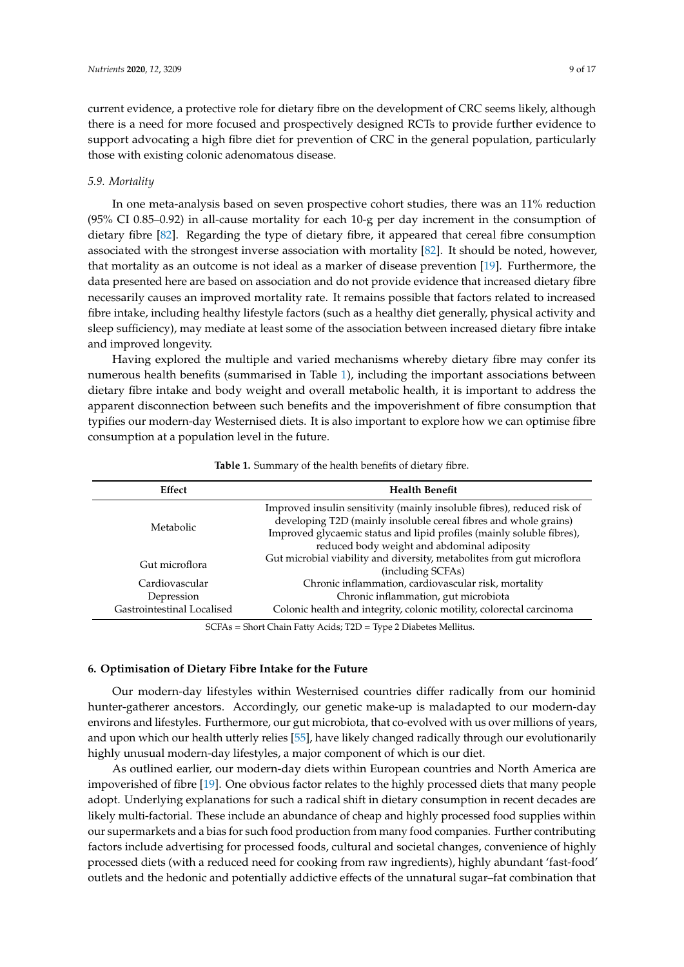current evidence, a protective role for dietary fibre on the development of CRC seems likely, although there is a need for more focused and prospectively designed RCTs to provide further evidence to support advocating a high fibre diet for prevention of CRC in the general population, particularly those with existing colonic adenomatous disease.

# *5.9. Mortality*

In one meta-analysis based on seven prospective cohort studies, there was an 11% reduction (95% CI 0.85–0.92) in all-cause mortality for each 10-g per day increment in the consumption of dietary fibre [\[82\]](#page-16-4). Regarding the type of dietary fibre, it appeared that cereal fibre consumption associated with the strongest inverse association with mortality [\[82\]](#page-16-4). It should be noted, however, that mortality as an outcome is not ideal as a marker of disease prevention [\[19\]](#page-12-13). Furthermore, the data presented here are based on association and do not provide evidence that increased dietary fibre necessarily causes an improved mortality rate. It remains possible that factors related to increased fibre intake, including healthy lifestyle factors (such as a healthy diet generally, physical activity and sleep sufficiency), may mediate at least some of the association between increased dietary fibre intake and improved longevity.

Having explored the multiple and varied mechanisms whereby dietary fibre may confer its numerous health benefits (summarised in Table [1\)](#page-8-0), including the important associations between dietary fibre intake and body weight and overall metabolic health, it is important to address the apparent disconnection between such benefits and the impoverishment of fibre consumption that typifies our modern-day Westernised diets. It is also important to explore how we can optimise fibre consumption at a population level in the future.

<span id="page-8-0"></span>

| Effect                                                             | <b>Health Benefit</b>                                                                                                                                                                                                                                               |
|--------------------------------------------------------------------|---------------------------------------------------------------------------------------------------------------------------------------------------------------------------------------------------------------------------------------------------------------------|
| Metabolic                                                          | Improved insulin sensitivity (mainly insoluble fibres), reduced risk of<br>developing T2D (mainly insoluble cereal fibres and whole grains)<br>Improved glycaemic status and lipid profiles (mainly soluble fibres),<br>reduced body weight and abdominal adiposity |
| Gut microflora                                                     | Gut microbial viability and diversity, metabolites from gut microflora<br>(including SCFAs)                                                                                                                                                                         |
| Cardiovascular                                                     | Chronic inflammation, cardiovascular risk, mortality                                                                                                                                                                                                                |
| Depression                                                         | Chronic inflammation, gut microbiota                                                                                                                                                                                                                                |
| Gastrointestinal Localised                                         | Colonic health and integrity, colonic motility, colorectal carcinoma                                                                                                                                                                                                |
| $SCFAs = Short Chain Fatty Acids; T2D = Type 2 Diabetes Mellitus.$ |                                                                                                                                                                                                                                                                     |

**Table 1.** Summary of the health benefits of dietary fibre.

# **6. Optimisation of Dietary Fibre Intake for the Future**

Our modern-day lifestyles within Westernised countries differ radically from our hominid hunter-gatherer ancestors. Accordingly, our genetic make-up is maladapted to our modern-day environs and lifestyles. Furthermore, our gut microbiota, that co-evolved with us over millions of years, and upon which our health utterly relies [\[55\]](#page-14-6), have likely changed radically through our evolutionarily highly unusual modern-day lifestyles, a major component of which is our diet.

As outlined earlier, our modern-day diets within European countries and North America are impoverished of fibre [\[19\]](#page-12-13). One obvious factor relates to the highly processed diets that many people adopt. Underlying explanations for such a radical shift in dietary consumption in recent decades are likely multi-factorial. These include an abundance of cheap and highly processed food supplies within our supermarkets and a bias for such food production from many food companies. Further contributing factors include advertising for processed foods, cultural and societal changes, convenience of highly processed diets (with a reduced need for cooking from raw ingredients), highly abundant 'fast-food' outlets and the hedonic and potentially addictive effects of the unnatural sugar–fat combination that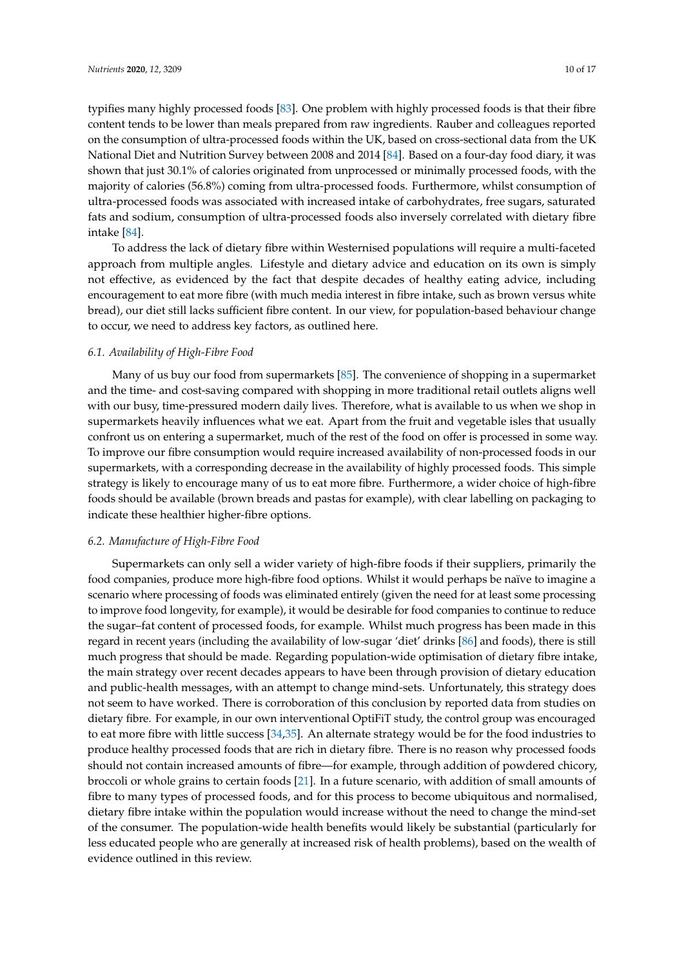typifies many highly processed foods [\[83\]](#page-16-5). One problem with highly processed foods is that their fibre content tends to be lower than meals prepared from raw ingredients. Rauber and colleagues reported on the consumption of ultra-processed foods within the UK, based on cross-sectional data from the UK National Diet and Nutrition Survey between 2008 and 2014 [\[84\]](#page-16-6). Based on a four-day food diary, it was shown that just 30.1% of calories originated from unprocessed or minimally processed foods, with the majority of calories (56.8%) coming from ultra-processed foods. Furthermore, whilst consumption of ultra-processed foods was associated with increased intake of carbohydrates, free sugars, saturated fats and sodium, consumption of ultra-processed foods also inversely correlated with dietary fibre intake [\[84\]](#page-16-6).

To address the lack of dietary fibre within Westernised populations will require a multi-faceted approach from multiple angles. Lifestyle and dietary advice and education on its own is simply not effective, as evidenced by the fact that despite decades of healthy eating advice, including encouragement to eat more fibre (with much media interest in fibre intake, such as brown versus white bread), our diet still lacks sufficient fibre content. In our view, for population-based behaviour change to occur, we need to address key factors, as outlined here.

#### *6.1. Availability of High-Fibre Food*

Many of us buy our food from supermarkets [\[85\]](#page-16-7). The convenience of shopping in a supermarket and the time- and cost-saving compared with shopping in more traditional retail outlets aligns well with our busy, time-pressured modern daily lives. Therefore, what is available to us when we shop in supermarkets heavily influences what we eat. Apart from the fruit and vegetable isles that usually confront us on entering a supermarket, much of the rest of the food on offer is processed in some way. To improve our fibre consumption would require increased availability of non-processed foods in our supermarkets, with a corresponding decrease in the availability of highly processed foods. This simple strategy is likely to encourage many of us to eat more fibre. Furthermore, a wider choice of high-fibre foods should be available (brown breads and pastas for example), with clear labelling on packaging to indicate these healthier higher-fibre options.

## *6.2. Manufacture of High-Fibre Food*

Supermarkets can only sell a wider variety of high-fibre foods if their suppliers, primarily the food companies, produce more high-fibre food options. Whilst it would perhaps be naïve to imagine a scenario where processing of foods was eliminated entirely (given the need for at least some processing to improve food longevity, for example), it would be desirable for food companies to continue to reduce the sugar–fat content of processed foods, for example. Whilst much progress has been made in this regard in recent years (including the availability of low-sugar 'diet' drinks [\[86\]](#page-16-8) and foods), there is still much progress that should be made. Regarding population-wide optimisation of dietary fibre intake, the main strategy over recent decades appears to have been through provision of dietary education and public-health messages, with an attempt to change mind-sets. Unfortunately, this strategy does not seem to have worked. There is corroboration of this conclusion by reported data from studies on dietary fibre. For example, in our own interventional OptiFiT study, the control group was encouraged to eat more fibre with little success [\[34](#page-13-13)[,35\]](#page-13-2). An alternate strategy would be for the food industries to produce healthy processed foods that are rich in dietary fibre. There is no reason why processed foods should not contain increased amounts of fibre—for example, through addition of powdered chicory, broccoli or whole grains to certain foods [\[21\]](#page-12-15). In a future scenario, with addition of small amounts of fibre to many types of processed foods, and for this process to become ubiquitous and normalised, dietary fibre intake within the population would increase without the need to change the mind-set of the consumer. The population-wide health benefits would likely be substantial (particularly for less educated people who are generally at increased risk of health problems), based on the wealth of evidence outlined in this review.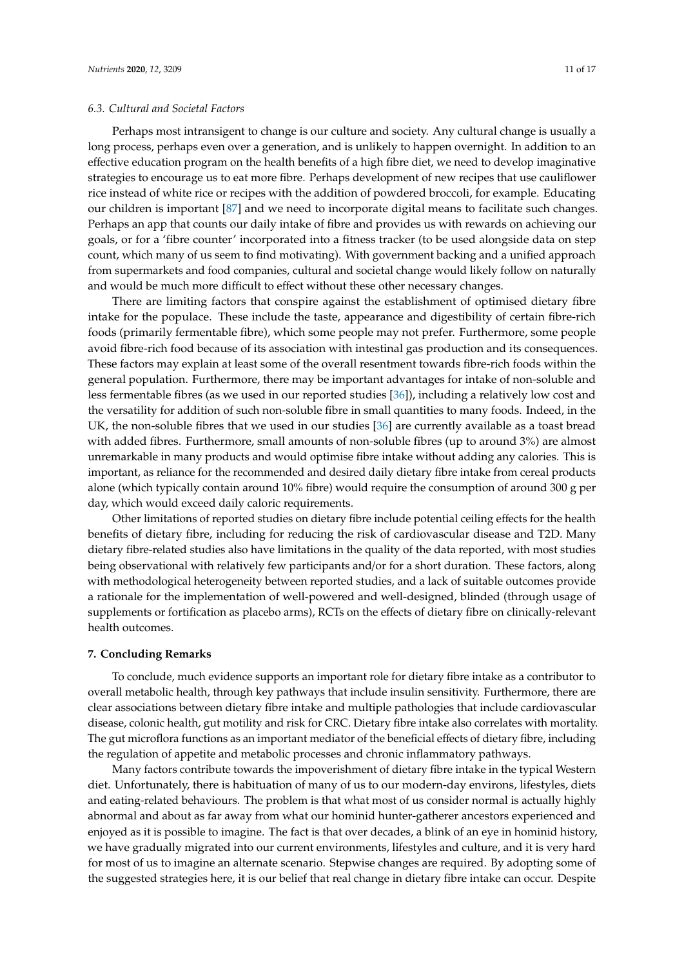Perhaps most intransigent to change is our culture and society. Any cultural change is usually a long process, perhaps even over a generation, and is unlikely to happen overnight. In addition to an effective education program on the health benefits of a high fibre diet, we need to develop imaginative strategies to encourage us to eat more fibre. Perhaps development of new recipes that use cauliflower rice instead of white rice or recipes with the addition of powdered broccoli, for example. Educating our children is important [\[87\]](#page-16-9) and we need to incorporate digital means to facilitate such changes. Perhaps an app that counts our daily intake of fibre and provides us with rewards on achieving our goals, or for a 'fibre counter' incorporated into a fitness tracker (to be used alongside data on step count, which many of us seem to find motivating). With government backing and a unified approach from supermarkets and food companies, cultural and societal change would likely follow on naturally and would be much more difficult to effect without these other necessary changes.

There are limiting factors that conspire against the establishment of optimised dietary fibre intake for the populace. These include the taste, appearance and digestibility of certain fibre-rich foods (primarily fermentable fibre), which some people may not prefer. Furthermore, some people avoid fibre-rich food because of its association with intestinal gas production and its consequences. These factors may explain at least some of the overall resentment towards fibre-rich foods within the general population. Furthermore, there may be important advantages for intake of non-soluble and less fermentable fibres (as we used in our reported studies [\[36\]](#page-13-3)), including a relatively low cost and the versatility for addition of such non-soluble fibre in small quantities to many foods. Indeed, in the UK, the non-soluble fibres that we used in our studies [\[36\]](#page-13-3) are currently available as a toast bread with added fibres. Furthermore, small amounts of non-soluble fibres (up to around 3%) are almost unremarkable in many products and would optimise fibre intake without adding any calories. This is important, as reliance for the recommended and desired daily dietary fibre intake from cereal products alone (which typically contain around 10% fibre) would require the consumption of around 300 g per day, which would exceed daily caloric requirements.

Other limitations of reported studies on dietary fibre include potential ceiling effects for the health benefits of dietary fibre, including for reducing the risk of cardiovascular disease and T2D. Many dietary fibre-related studies also have limitations in the quality of the data reported, with most studies being observational with relatively few participants and/or for a short duration. These factors, along with methodological heterogeneity between reported studies, and a lack of suitable outcomes provide a rationale for the implementation of well-powered and well-designed, blinded (through usage of supplements or fortification as placebo arms), RCTs on the effects of dietary fibre on clinically-relevant health outcomes.

#### **7. Concluding Remarks**

To conclude, much evidence supports an important role for dietary fibre intake as a contributor to overall metabolic health, through key pathways that include insulin sensitivity. Furthermore, there are clear associations between dietary fibre intake and multiple pathologies that include cardiovascular disease, colonic health, gut motility and risk for CRC. Dietary fibre intake also correlates with mortality. The gut microflora functions as an important mediator of the beneficial effects of dietary fibre, including the regulation of appetite and metabolic processes and chronic inflammatory pathways.

Many factors contribute towards the impoverishment of dietary fibre intake in the typical Western diet. Unfortunately, there is habituation of many of us to our modern-day environs, lifestyles, diets and eating-related behaviours. The problem is that what most of us consider normal is actually highly abnormal and about as far away from what our hominid hunter-gatherer ancestors experienced and enjoyed as it is possible to imagine. The fact is that over decades, a blink of an eye in hominid history, we have gradually migrated into our current environments, lifestyles and culture, and it is very hard for most of us to imagine an alternate scenario. Stepwise changes are required. By adopting some of the suggested strategies here, it is our belief that real change in dietary fibre intake can occur. Despite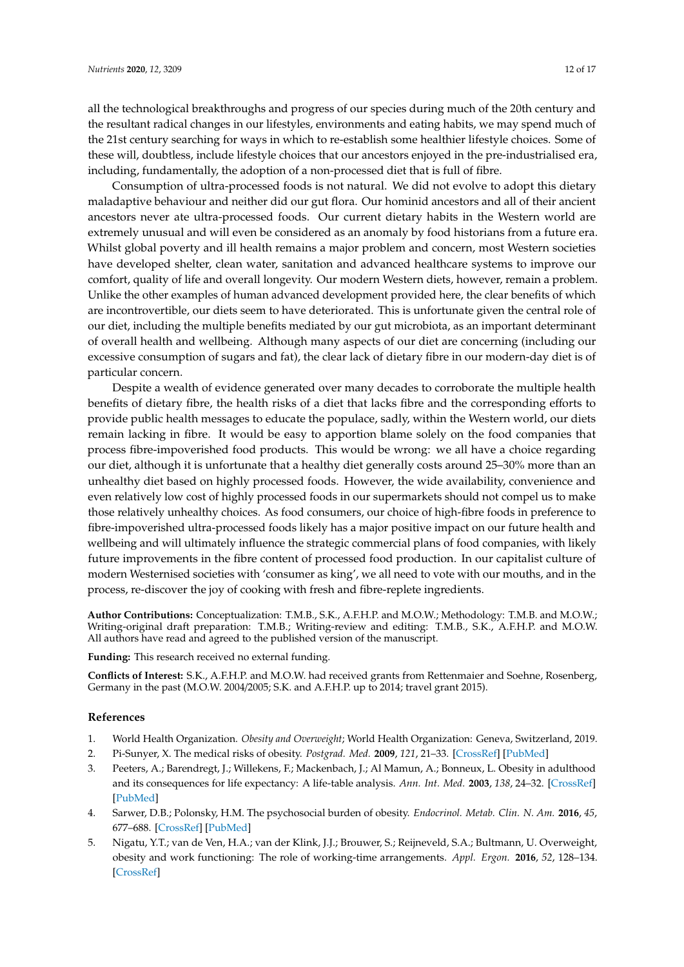all the technological breakthroughs and progress of our species during much of the 20th century and the resultant radical changes in our lifestyles, environments and eating habits, we may spend much of the 21st century searching for ways in which to re-establish some healthier lifestyle choices. Some of these will, doubtless, include lifestyle choices that our ancestors enjoyed in the pre-industrialised era, including, fundamentally, the adoption of a non-processed diet that is full of fibre.

Consumption of ultra-processed foods is not natural. We did not evolve to adopt this dietary maladaptive behaviour and neither did our gut flora. Our hominid ancestors and all of their ancient ancestors never ate ultra-processed foods. Our current dietary habits in the Western world are extremely unusual and will even be considered as an anomaly by food historians from a future era. Whilst global poverty and ill health remains a major problem and concern, most Western societies have developed shelter, clean water, sanitation and advanced healthcare systems to improve our comfort, quality of life and overall longevity. Our modern Western diets, however, remain a problem. Unlike the other examples of human advanced development provided here, the clear benefits of which are incontrovertible, our diets seem to have deteriorated. This is unfortunate given the central role of our diet, including the multiple benefits mediated by our gut microbiota, as an important determinant of overall health and wellbeing. Although many aspects of our diet are concerning (including our excessive consumption of sugars and fat), the clear lack of dietary fibre in our modern-day diet is of particular concern.

Despite a wealth of evidence generated over many decades to corroborate the multiple health benefits of dietary fibre, the health risks of a diet that lacks fibre and the corresponding efforts to provide public health messages to educate the populace, sadly, within the Western world, our diets remain lacking in fibre. It would be easy to apportion blame solely on the food companies that process fibre-impoverished food products. This would be wrong: we all have a choice regarding our diet, although it is unfortunate that a healthy diet generally costs around 25–30% more than an unhealthy diet based on highly processed foods. However, the wide availability, convenience and even relatively low cost of highly processed foods in our supermarkets should not compel us to make those relatively unhealthy choices. As food consumers, our choice of high-fibre foods in preference to fibre-impoverished ultra-processed foods likely has a major positive impact on our future health and wellbeing and will ultimately influence the strategic commercial plans of food companies, with likely future improvements in the fibre content of processed food production. In our capitalist culture of modern Westernised societies with 'consumer as king', we all need to vote with our mouths, and in the process, re-discover the joy of cooking with fresh and fibre-replete ingredients.

**Author Contributions:** Conceptualization: T.M.B., S.K., A.F.H.P. and M.O.W.; Methodology: T.M.B. and M.O.W.; Writing-original draft preparation: T.M.B.; Writing-review and editing: T.M.B., S.K., A.F.H.P. and M.O.W. All authors have read and agreed to the published version of the manuscript.

**Funding:** This research received no external funding.

**Conflicts of Interest:** S.K., A.F.H.P. and M.O.W. had received grants from Rettenmaier and Soehne, Rosenberg, Germany in the past (M.O.W. 2004/2005; S.K. and A.F.H.P. up to 2014; travel grant 2015).

# **References**

- <span id="page-11-0"></span>1. World Health Organization. *Obesity and Overweight*; World Health Organization: Geneva, Switzerland, 2019.
- <span id="page-11-1"></span>2. Pi-Sunyer, X. The medical risks of obesity. *Postgrad. Med.* **2009**, *121*, 21–33. [\[CrossRef\]](http://dx.doi.org/10.3810/pgm.2009.11.2074) [\[PubMed\]](http://www.ncbi.nlm.nih.gov/pubmed/19940414)
- <span id="page-11-2"></span>3. Peeters, A.; Barendregt, J.; Willekens, F.; Mackenbach, J.; Al Mamun, A.; Bonneux, L. Obesity in adulthood and its consequences for life expectancy: A life-table analysis. *Ann. Int. Med.* **2003**, *138*, 24–32. [\[CrossRef\]](http://dx.doi.org/10.7326/0003-4819-138-1-200301070-00008) [\[PubMed\]](http://www.ncbi.nlm.nih.gov/pubmed/12513041)
- <span id="page-11-3"></span>4. Sarwer, D.B.; Polonsky, H.M. The psychosocial burden of obesity. *Endocrinol. Metab. Clin. N. Am.* **2016**, *45*, 677–688. [\[CrossRef\]](http://dx.doi.org/10.1016/j.ecl.2016.04.016) [\[PubMed\]](http://www.ncbi.nlm.nih.gov/pubmed/27519139)
- <span id="page-11-4"></span>5. Nigatu, Y.T.; van de Ven, H.A.; van der Klink, J.J.; Brouwer, S.; Reijneveld, S.A.; Bultmann, U. Overweight, obesity and work functioning: The role of working-time arrangements. *Appl. Ergon.* **2016**, *52*, 128–134. [\[CrossRef\]](http://dx.doi.org/10.1016/j.apergo.2015.07.016)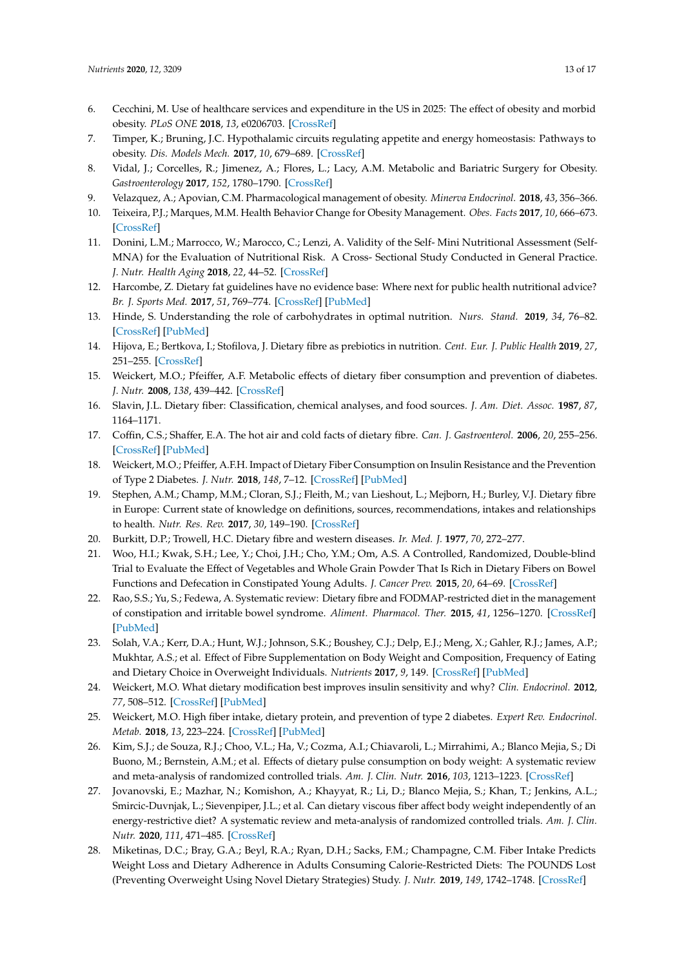- <span id="page-12-0"></span>6. Cecchini, M. Use of healthcare services and expenditure in the US in 2025: The effect of obesity and morbid obesity. *PLoS ONE* **2018**, *13*, e0206703. [\[CrossRef\]](http://dx.doi.org/10.1371/journal.pone.0206703)
- <span id="page-12-1"></span>7. Timper, K.; Bruning, J.C. Hypothalamic circuits regulating appetite and energy homeostasis: Pathways to obesity. *Dis. Models Mech.* **2017**, *10*, 679–689. [\[CrossRef\]](http://dx.doi.org/10.1242/dmm.026609)
- <span id="page-12-2"></span>8. Vidal, J.; Corcelles, R.; Jimenez, A.; Flores, L.; Lacy, A.M. Metabolic and Bariatric Surgery for Obesity. *Gastroenterology* **2017**, *152*, 1780–1790. [\[CrossRef\]](http://dx.doi.org/10.1053/j.gastro.2017.01.051)
- <span id="page-12-3"></span>9. Velazquez, A.; Apovian, C.M. Pharmacological management of obesity. *Minerva Endocrinol.* **2018**, *43*, 356–366.
- <span id="page-12-4"></span>10. Teixeira, P.J.; Marques, M.M. Health Behavior Change for Obesity Management. *Obes. Facts* **2017**, *10*, 666–673. [\[CrossRef\]](http://dx.doi.org/10.1159/000484933)
- <span id="page-12-5"></span>11. Donini, L.M.; Marrocco, W.; Marocco, C.; Lenzi, A. Validity of the Self- Mini Nutritional Assessment (Self-MNA) for the Evaluation of Nutritional Risk. A Cross- Sectional Study Conducted in General Practice. *J. Nutr. Health Aging* **2018**, *22*, 44–52. [\[CrossRef\]](http://dx.doi.org/10.1007/s12603-017-0919-y)
- <span id="page-12-6"></span>12. Harcombe, Z. Dietary fat guidelines have no evidence base: Where next for public health nutritional advice? *Br. J. Sports Med.* **2017**, *51*, 769–774. [\[CrossRef\]](http://dx.doi.org/10.1136/bjsports-2016-096734) [\[PubMed\]](http://www.ncbi.nlm.nih.gov/pubmed/27797736)
- <span id="page-12-7"></span>13. Hinde, S. Understanding the role of carbohydrates in optimal nutrition. *Nurs. Stand.* **2019**, *34*, 76–82. [\[CrossRef\]](http://dx.doi.org/10.7748/ns.2019.e11323) [\[PubMed\]](http://www.ncbi.nlm.nih.gov/pubmed/31468779)
- <span id="page-12-8"></span>14. Hijova, E.; Bertkova, I.; Stofilova, J. Dietary fibre as prebiotics in nutrition. *Cent. Eur. J. Public Health* **2019**, *27*, 251–255. [\[CrossRef\]](http://dx.doi.org/10.21101/cejph.a5313)
- <span id="page-12-9"></span>15. Weickert, M.O.; Pfeiffer, A.F. Metabolic effects of dietary fiber consumption and prevention of diabetes. *J. Nutr.* **2008**, *138*, 439–442. [\[CrossRef\]](http://dx.doi.org/10.1093/jn/138.3.439)
- <span id="page-12-10"></span>16. Slavin, J.L. Dietary fiber: Classification, chemical analyses, and food sources. *J. Am. Diet. Assoc.* **1987**, *87*, 1164–1171.
- <span id="page-12-11"></span>17. Coffin, C.S.; Shaffer, E.A. The hot air and cold facts of dietary fibre. *Can. J. Gastroenterol.* **2006**, *20*, 255–256. [\[CrossRef\]](http://dx.doi.org/10.1155/2006/390953) [\[PubMed\]](http://www.ncbi.nlm.nih.gov/pubmed/16609752)
- <span id="page-12-12"></span>18. Weickert, M.O.; Pfeiffer, A.F.H. Impact of Dietary Fiber Consumption on Insulin Resistance and the Prevention of Type 2 Diabetes. *J. Nutr.* **2018**, *148*, 7–12. [\[CrossRef\]](http://dx.doi.org/10.1093/jn/nxx008) [\[PubMed\]](http://www.ncbi.nlm.nih.gov/pubmed/29378044)
- <span id="page-12-13"></span>19. Stephen, A.M.; Champ, M.M.; Cloran, S.J.; Fleith, M.; van Lieshout, L.; Mejborn, H.; Burley, V.J. Dietary fibre in Europe: Current state of knowledge on definitions, sources, recommendations, intakes and relationships to health. *Nutr. Res. Rev.* **2017**, *30*, 149–190. [\[CrossRef\]](http://dx.doi.org/10.1017/S095442241700004X)
- <span id="page-12-14"></span>20. Burkitt, D.P.; Trowell, H.C. Dietary fibre and western diseases. *Ir. Med. J.* **1977**, *70*, 272–277.
- <span id="page-12-15"></span>21. Woo, H.I.; Kwak, S.H.; Lee, Y.; Choi, J.H.; Cho, Y.M.; Om, A.S. A Controlled, Randomized, Double-blind Trial to Evaluate the Effect of Vegetables and Whole Grain Powder That Is Rich in Dietary Fibers on Bowel Functions and Defecation in Constipated Young Adults. *J. Cancer Prev.* **2015**, *20*, 64–69. [\[CrossRef\]](http://dx.doi.org/10.15430/JCP.2015.20.1.64)
- <span id="page-12-16"></span>22. Rao, S.S.; Yu, S.; Fedewa, A. Systematic review: Dietary fibre and FODMAP-restricted diet in the management of constipation and irritable bowel syndrome. *Aliment. Pharmacol. Ther.* **2015**, *41*, 1256–1270. [\[CrossRef\]](http://dx.doi.org/10.1111/apt.13167) [\[PubMed\]](http://www.ncbi.nlm.nih.gov/pubmed/25903636)
- <span id="page-12-17"></span>23. Solah, V.A.; Kerr, D.A.; Hunt, W.J.; Johnson, S.K.; Boushey, C.J.; Delp, E.J.; Meng, X.; Gahler, R.J.; James, A.P.; Mukhtar, A.S.; et al. Effect of Fibre Supplementation on Body Weight and Composition, Frequency of Eating and Dietary Choice in Overweight Individuals. *Nutrients* **2017**, *9*, 149. [\[CrossRef\]](http://dx.doi.org/10.3390/nu9020149) [\[PubMed\]](http://www.ncbi.nlm.nih.gov/pubmed/28212353)
- <span id="page-12-18"></span>24. Weickert, M.O. What dietary modification best improves insulin sensitivity and why? *Clin. Endocrinol.* **2012**, *77*, 508–512. [\[CrossRef\]](http://dx.doi.org/10.1111/j.1365-2265.2012.04450.x) [\[PubMed\]](http://www.ncbi.nlm.nih.gov/pubmed/22640465)
- <span id="page-12-19"></span>25. Weickert, M.O. High fiber intake, dietary protein, and prevention of type 2 diabetes. *Expert Rev. Endocrinol. Metab.* **2018**, *13*, 223–224. [\[CrossRef\]](http://dx.doi.org/10.1080/17446651.2018.1513320) [\[PubMed\]](http://www.ncbi.nlm.nih.gov/pubmed/30141693)
- <span id="page-12-20"></span>26. Kim, S.J.; de Souza, R.J.; Choo, V.L.; Ha, V.; Cozma, A.I.; Chiavaroli, L.; Mirrahimi, A.; Blanco Mejia, S.; Di Buono, M.; Bernstein, A.M.; et al. Effects of dietary pulse consumption on body weight: A systematic review and meta-analysis of randomized controlled trials. *Am. J. Clin. Nutr.* **2016**, *103*, 1213–1223. [\[CrossRef\]](http://dx.doi.org/10.3945/ajcn.115.124677)
- <span id="page-12-21"></span>27. Jovanovski, E.; Mazhar, N.; Komishon, A.; Khayyat, R.; Li, D.; Blanco Mejia, S.; Khan, T.; Jenkins, A.L.; Smircic-Duvnjak, L.; Sievenpiper, J.L.; et al. Can dietary viscous fiber affect body weight independently of an energy-restrictive diet? A systematic review and meta-analysis of randomized controlled trials. *Am. J. Clin. Nutr.* **2020**, *111*, 471–485. [\[CrossRef\]](http://dx.doi.org/10.1093/ajcn/nqz292)
- <span id="page-12-22"></span>28. Miketinas, D.C.; Bray, G.A.; Beyl, R.A.; Ryan, D.H.; Sacks, F.M.; Champagne, C.M. Fiber Intake Predicts Weight Loss and Dietary Adherence in Adults Consuming Calorie-Restricted Diets: The POUNDS Lost (Preventing Overweight Using Novel Dietary Strategies) Study. *J. Nutr.* **2019**, *149*, 1742–1748. [\[CrossRef\]](http://dx.doi.org/10.1093/jn/nxz117)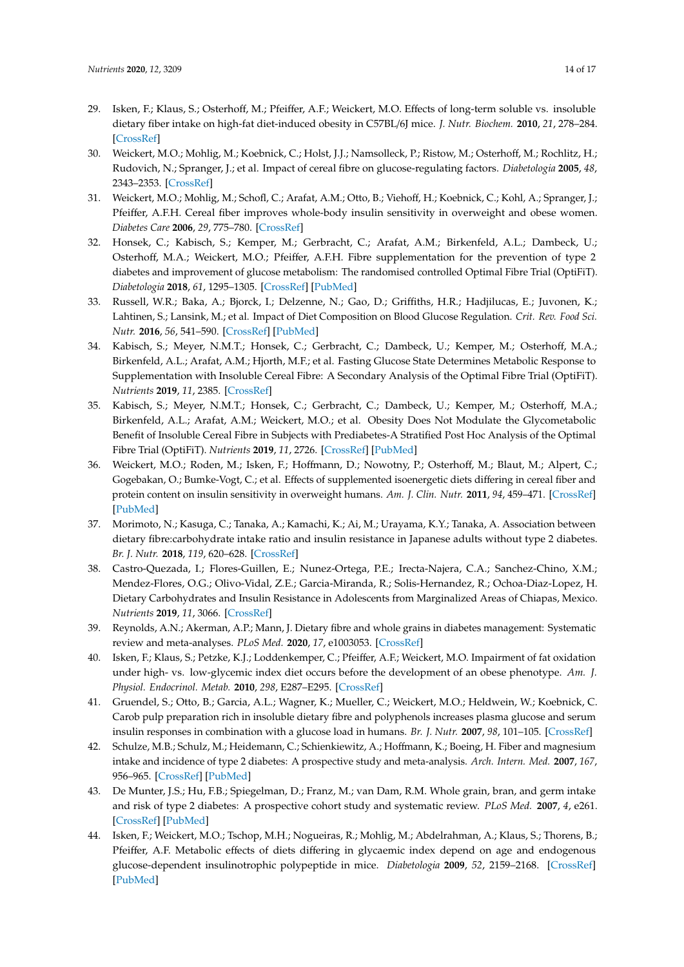- <span id="page-13-0"></span>29. Isken, F.; Klaus, S.; Osterhoff, M.; Pfeiffer, A.F.; Weickert, M.O. Effects of long-term soluble vs. insoluble dietary fiber intake on high-fat diet-induced obesity in C57BL/6J mice. *J. Nutr. Biochem.* **2010**, *21*, 278–284. [\[CrossRef\]](http://dx.doi.org/10.1016/j.jnutbio.2008.12.012)
- <span id="page-13-1"></span>30. Weickert, M.O.; Mohlig, M.; Koebnick, C.; Holst, J.J.; Namsolleck, P.; Ristow, M.; Osterhoff, M.; Rochlitz, H.; Rudovich, N.; Spranger, J.; et al. Impact of cereal fibre on glucose-regulating factors. *Diabetologia* **2005**, *48*, 2343–2353. [\[CrossRef\]](http://dx.doi.org/10.1007/s00125-005-1941-x)
- 31. Weickert, M.O.; Mohlig, M.; Schofl, C.; Arafat, A.M.; Otto, B.; Viehoff, H.; Koebnick, C.; Kohl, A.; Spranger, J.; Pfeiffer, A.F.H. Cereal fiber improves whole-body insulin sensitivity in overweight and obese women. *Diabetes Care* **2006**, *29*, 775–780. [\[CrossRef\]](http://dx.doi.org/10.2337/diacare.29.04.06.dc05-2374)
- 32. Honsek, C.; Kabisch, S.; Kemper, M.; Gerbracht, C.; Arafat, A.M.; Birkenfeld, A.L.; Dambeck, U.; Osterhoff, M.A.; Weickert, M.O.; Pfeiffer, A.F.H. Fibre supplementation for the prevention of type 2 diabetes and improvement of glucose metabolism: The randomised controlled Optimal Fibre Trial (OptiFiT). *Diabetologia* **2018**, *61*, 1295–1305. [\[CrossRef\]](http://dx.doi.org/10.1007/s00125-018-4582-6) [\[PubMed\]](http://www.ncbi.nlm.nih.gov/pubmed/29492637)
- <span id="page-13-7"></span>33. Russell, W.R.; Baka, A.; Bjorck, I.; Delzenne, N.; Gao, D.; Griffiths, H.R.; Hadjilucas, E.; Juvonen, K.; Lahtinen, S.; Lansink, M.; et al. Impact of Diet Composition on Blood Glucose Regulation. *Crit. Rev. Food Sci. Nutr.* **2016**, *56*, 541–590. [\[CrossRef\]](http://dx.doi.org/10.1080/10408398.2013.792772) [\[PubMed\]](http://www.ncbi.nlm.nih.gov/pubmed/24219323)
- <span id="page-13-13"></span>34. Kabisch, S.; Meyer, N.M.T.; Honsek, C.; Gerbracht, C.; Dambeck, U.; Kemper, M.; Osterhoff, M.A.; Birkenfeld, A.L.; Arafat, A.M.; Hjorth, M.F.; et al. Fasting Glucose State Determines Metabolic Response to Supplementation with Insoluble Cereal Fibre: A Secondary Analysis of the Optimal Fibre Trial (OptiFiT). *Nutrients* **2019**, *11*, 2385. [\[CrossRef\]](http://dx.doi.org/10.3390/nu11102385)
- <span id="page-13-2"></span>35. Kabisch, S.; Meyer, N.M.T.; Honsek, C.; Gerbracht, C.; Dambeck, U.; Kemper, M.; Osterhoff, M.A.; Birkenfeld, A.L.; Arafat, A.M.; Weickert, M.O.; et al. Obesity Does Not Modulate the Glycometabolic Benefit of Insoluble Cereal Fibre in Subjects with Prediabetes-A Stratified Post Hoc Analysis of the Optimal Fibre Trial (OptiFiT). *Nutrients* **2019**, *11*, 2726. [\[CrossRef\]](http://dx.doi.org/10.3390/nu11112726) [\[PubMed\]](http://www.ncbi.nlm.nih.gov/pubmed/31717901)
- <span id="page-13-3"></span>36. Weickert, M.O.; Roden, M.; Isken, F.; Hoffmann, D.; Nowotny, P.; Osterhoff, M.; Blaut, M.; Alpert, C.; Gogebakan, O.; Bumke-Vogt, C.; et al. Effects of supplemented isoenergetic diets differing in cereal fiber and protein content on insulin sensitivity in overweight humans. *Am. J. Clin. Nutr.* **2011**, *94*, 459–471. [\[CrossRef\]](http://dx.doi.org/10.3945/ajcn.110.004374) [\[PubMed\]](http://www.ncbi.nlm.nih.gov/pubmed/21633074)
- <span id="page-13-4"></span>37. Morimoto, N.; Kasuga, C.; Tanaka, A.; Kamachi, K.; Ai, M.; Urayama, K.Y.; Tanaka, A. Association between dietary fibre:carbohydrate intake ratio and insulin resistance in Japanese adults without type 2 diabetes. *Br. J. Nutr.* **2018**, *119*, 620–628. [\[CrossRef\]](http://dx.doi.org/10.1017/S0007114517003725)
- <span id="page-13-5"></span>38. Castro-Quezada, I.; Flores-Guillen, E.; Nunez-Ortega, P.E.; Irecta-Najera, C.A.; Sanchez-Chino, X.M.; Mendez-Flores, O.G.; Olivo-Vidal, Z.E.; Garcia-Miranda, R.; Solis-Hernandez, R.; Ochoa-Diaz-Lopez, H. Dietary Carbohydrates and Insulin Resistance in Adolescents from Marginalized Areas of Chiapas, Mexico. *Nutrients* **2019**, *11*, 3066. [\[CrossRef\]](http://dx.doi.org/10.3390/nu11123066)
- <span id="page-13-6"></span>39. Reynolds, A.N.; Akerman, A.P.; Mann, J. Dietary fibre and whole grains in diabetes management: Systematic review and meta-analyses. *PLoS Med.* **2020**, *17*, e1003053. [\[CrossRef\]](http://dx.doi.org/10.1371/journal.pmed.1003053)
- <span id="page-13-8"></span>40. Isken, F.; Klaus, S.; Petzke, K.J.; Loddenkemper, C.; Pfeiffer, A.F.; Weickert, M.O. Impairment of fat oxidation under high- vs. low-glycemic index diet occurs before the development of an obese phenotype. *Am. J. Physiol. Endocrinol. Metab.* **2010**, *298*, E287–E295. [\[CrossRef\]](http://dx.doi.org/10.1152/ajpendo.00515.2009)
- <span id="page-13-9"></span>41. Gruendel, S.; Otto, B.; Garcia, A.L.; Wagner, K.; Mueller, C.; Weickert, M.O.; Heldwein, W.; Koebnick, C. Carob pulp preparation rich in insoluble dietary fibre and polyphenols increases plasma glucose and serum insulin responses in combination with a glucose load in humans. *Br. J. Nutr.* **2007**, *98*, 101–105. [\[CrossRef\]](http://dx.doi.org/10.1017/S0007114507701642)
- <span id="page-13-10"></span>42. Schulze, M.B.; Schulz, M.; Heidemann, C.; Schienkiewitz, A.; Hoffmann, K.; Boeing, H. Fiber and magnesium intake and incidence of type 2 diabetes: A prospective study and meta-analysis. *Arch. Intern. Med.* **2007**, *167*, 956–965. [\[CrossRef\]](http://dx.doi.org/10.1001/archinte.167.9.956) [\[PubMed\]](http://www.ncbi.nlm.nih.gov/pubmed/17502538)
- <span id="page-13-11"></span>43. De Munter, J.S.; Hu, F.B.; Spiegelman, D.; Franz, M.; van Dam, R.M. Whole grain, bran, and germ intake and risk of type 2 diabetes: A prospective cohort study and systematic review. *PLoS Med.* **2007**, *4*, e261. [\[CrossRef\]](http://dx.doi.org/10.1371/journal.pmed.0040261) [\[PubMed\]](http://www.ncbi.nlm.nih.gov/pubmed/17760498)
- <span id="page-13-12"></span>44. Isken, F.; Weickert, M.O.; Tschop, M.H.; Nogueiras, R.; Mohlig, M.; Abdelrahman, A.; Klaus, S.; Thorens, B.; Pfeiffer, A.F. Metabolic effects of diets differing in glycaemic index depend on age and endogenous glucose-dependent insulinotrophic polypeptide in mice. *Diabetologia* **2009**, *52*, 2159–2168. [\[CrossRef\]](http://dx.doi.org/10.1007/s00125-009-1466-9) [\[PubMed\]](http://www.ncbi.nlm.nih.gov/pubmed/19644669)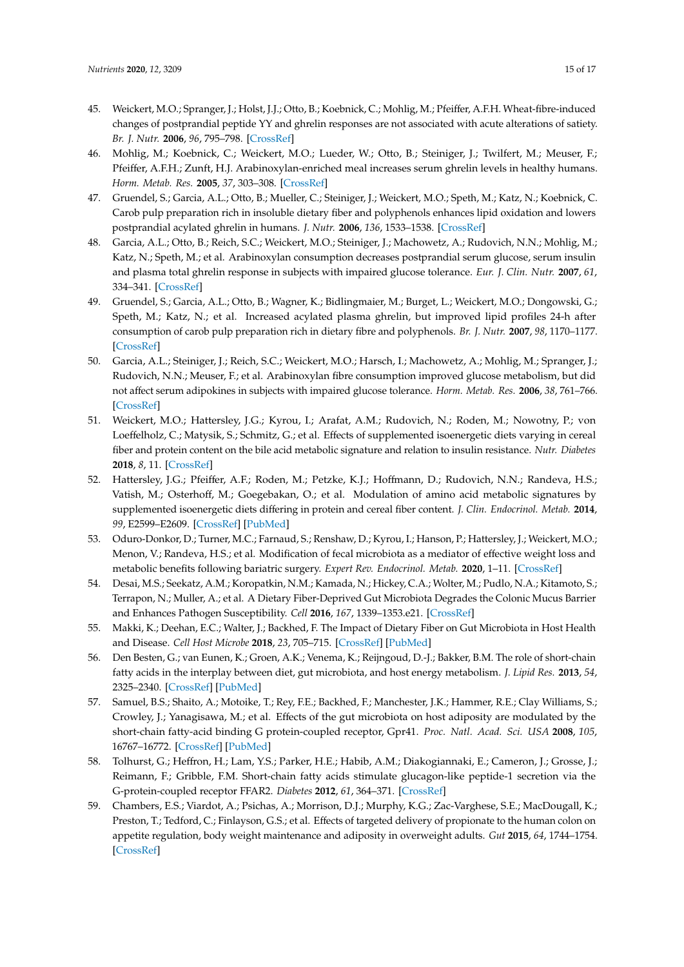- 45. Weickert, M.O.; Spranger, J.; Holst, J.J.; Otto, B.; Koebnick, C.; Mohlig, M.; Pfeiffer, A.F.H. Wheat-fibre-induced changes of postprandial peptide YY and ghrelin responses are not associated with acute alterations of satiety. *Br. J. Nutr.* **2006**, *96*, 795–798. [\[CrossRef\]](http://dx.doi.org/10.1017/BJN20061902)
- 46. Mohlig, M.; Koebnick, C.; Weickert, M.O.; Lueder, W.; Otto, B.; Steiniger, J.; Twilfert, M.; Meuser, F.; Pfeiffer, A.F.H.; Zunft, H.J. Arabinoxylan-enriched meal increases serum ghrelin levels in healthy humans. *Horm. Metab. Res.* **2005**, *37*, 303–308. [\[CrossRef\]](http://dx.doi.org/10.1055/s-2005-861474)
- 47. Gruendel, S.; Garcia, A.L.; Otto, B.; Mueller, C.; Steiniger, J.; Weickert, M.O.; Speth, M.; Katz, N.; Koebnick, C. Carob pulp preparation rich in insoluble dietary fiber and polyphenols enhances lipid oxidation and lowers postprandial acylated ghrelin in humans. *J. Nutr.* **2006**, *136*, 1533–1538. [\[CrossRef\]](http://dx.doi.org/10.1093/jn/136.6.1533)
- 48. Garcia, A.L.; Otto, B.; Reich, S.C.; Weickert, M.O.; Steiniger, J.; Machowetz, A.; Rudovich, N.N.; Mohlig, M.; Katz, N.; Speth, M.; et al. Arabinoxylan consumption decreases postprandial serum glucose, serum insulin and plasma total ghrelin response in subjects with impaired glucose tolerance. *Eur. J. Clin. Nutr.* **2007**, *61*, 334–341. [\[CrossRef\]](http://dx.doi.org/10.1038/sj.ejcn.1602525)
- <span id="page-14-0"></span>49. Gruendel, S.; Garcia, A.L.; Otto, B.; Wagner, K.; Bidlingmaier, M.; Burget, L.; Weickert, M.O.; Dongowski, G.; Speth, M.; Katz, N.; et al. Increased acylated plasma ghrelin, but improved lipid profiles 24-h after consumption of carob pulp preparation rich in dietary fibre and polyphenols. *Br. J. Nutr.* **2007**, *98*, 1170–1177. [\[CrossRef\]](http://dx.doi.org/10.1017/S0007114507777127)
- <span id="page-14-1"></span>50. Garcia, A.L.; Steiniger, J.; Reich, S.C.; Weickert, M.O.; Harsch, I.; Machowetz, A.; Mohlig, M.; Spranger, J.; Rudovich, N.N.; Meuser, F.; et al. Arabinoxylan fibre consumption improved glucose metabolism, but did not affect serum adipokines in subjects with impaired glucose tolerance. *Horm. Metab. Res.* **2006**, *38*, 761–766. [\[CrossRef\]](http://dx.doi.org/10.1055/s-2006-955089)
- <span id="page-14-2"></span>51. Weickert, M.O.; Hattersley, J.G.; Kyrou, I.; Arafat, A.M.; Rudovich, N.; Roden, M.; Nowotny, P.; von Loeffelholz, C.; Matysik, S.; Schmitz, G.; et al. Effects of supplemented isoenergetic diets varying in cereal fiber and protein content on the bile acid metabolic signature and relation to insulin resistance. *Nutr. Diabetes* **2018**, *8*, 11. [\[CrossRef\]](http://dx.doi.org/10.1038/s41387-018-0020-6)
- <span id="page-14-3"></span>52. Hattersley, J.G.; Pfeiffer, A.F.; Roden, M.; Petzke, K.J.; Hoffmann, D.; Rudovich, N.N.; Randeva, H.S.; Vatish, M.; Osterhoff, M.; Goegebakan, O.; et al. Modulation of amino acid metabolic signatures by supplemented isoenergetic diets differing in protein and cereal fiber content. *J. Clin. Endocrinol. Metab.* **2014**, *99*, E2599–E2609. [\[CrossRef\]](http://dx.doi.org/10.1210/jc.2014-2302) [\[PubMed\]](http://www.ncbi.nlm.nih.gov/pubmed/25157543)
- <span id="page-14-4"></span>53. Oduro-Donkor, D.; Turner, M.C.; Farnaud, S.; Renshaw, D.; Kyrou, I.; Hanson, P.; Hattersley, J.; Weickert, M.O.; Menon, V.; Randeva, H.S.; et al. Modification of fecal microbiota as a mediator of effective weight loss and metabolic benefits following bariatric surgery. *Expert Rev. Endocrinol. Metab.* **2020**, 1–11. [\[CrossRef\]](http://dx.doi.org/10.1080/17446651.2020.1801412)
- <span id="page-14-5"></span>54. Desai, M.S.; Seekatz, A.M.; Koropatkin, N.M.; Kamada, N.; Hickey, C.A.; Wolter, M.; Pudlo, N.A.; Kitamoto, S.; Terrapon, N.; Muller, A.; et al. A Dietary Fiber-Deprived Gut Microbiota Degrades the Colonic Mucus Barrier and Enhances Pathogen Susceptibility. *Cell* **2016**, *167*, 1339–1353.e21. [\[CrossRef\]](http://dx.doi.org/10.1016/j.cell.2016.10.043)
- <span id="page-14-6"></span>55. Makki, K.; Deehan, E.C.; Walter, J.; Backhed, F. The Impact of Dietary Fiber on Gut Microbiota in Host Health and Disease. *Cell Host Microbe* **2018**, *23*, 705–715. [\[CrossRef\]](http://dx.doi.org/10.1016/j.chom.2018.05.012) [\[PubMed\]](http://www.ncbi.nlm.nih.gov/pubmed/29902436)
- <span id="page-14-7"></span>56. Den Besten, G.; van Eunen, K.; Groen, A.K.; Venema, K.; Reijngoud, D.-J.; Bakker, B.M. The role of short-chain fatty acids in the interplay between diet, gut microbiota, and host energy metabolism. *J. Lipid Res.* **2013**, *54*, 2325–2340. [\[CrossRef\]](http://dx.doi.org/10.1194/jlr.R036012) [\[PubMed\]](http://www.ncbi.nlm.nih.gov/pubmed/23821742)
- <span id="page-14-8"></span>57. Samuel, B.S.; Shaito, A.; Motoike, T.; Rey, F.E.; Backhed, F.; Manchester, J.K.; Hammer, R.E.; Clay Williams, S.; Crowley, J.; Yanagisawa, M.; et al. Effects of the gut microbiota on host adiposity are modulated by the short-chain fatty-acid binding G protein-coupled receptor, Gpr41. *Proc. Natl. Acad. Sci. USA* **2008**, *105*, 16767–16772. [\[CrossRef\]](http://dx.doi.org/10.1073/pnas.0808567105) [\[PubMed\]](http://www.ncbi.nlm.nih.gov/pubmed/18931303)
- <span id="page-14-9"></span>58. Tolhurst, G.; Heffron, H.; Lam, Y.S.; Parker, H.E.; Habib, A.M.; Diakogiannaki, E.; Cameron, J.; Grosse, J.; Reimann, F.; Gribble, F.M. Short-chain fatty acids stimulate glucagon-like peptide-1 secretion via the G-protein-coupled receptor FFAR2. *Diabetes* **2012**, *61*, 364–371. [\[CrossRef\]](http://dx.doi.org/10.2337/db11-1019)
- <span id="page-14-10"></span>59. Chambers, E.S.; Viardot, A.; Psichas, A.; Morrison, D.J.; Murphy, K.G.; Zac-Varghese, S.E.; MacDougall, K.; Preston, T.; Tedford, C.; Finlayson, G.S.; et al. Effects of targeted delivery of propionate to the human colon on appetite regulation, body weight maintenance and adiposity in overweight adults. *Gut* **2015**, *64*, 1744–1754. [\[CrossRef\]](http://dx.doi.org/10.1136/gutjnl-2014-307913)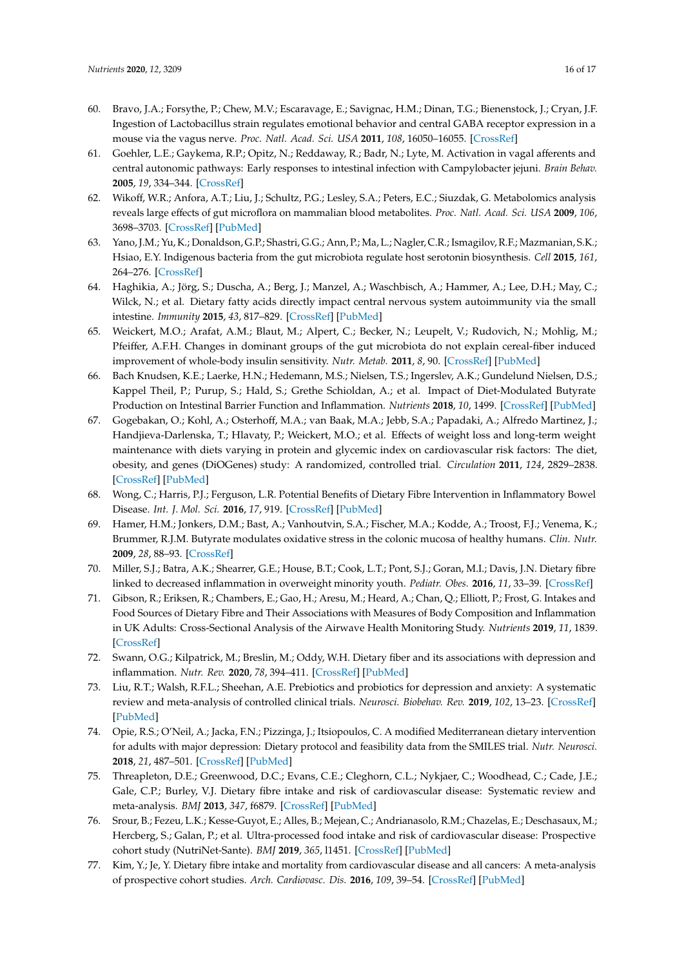- <span id="page-15-0"></span>60. Bravo, J.A.; Forsythe, P.; Chew, M.V.; Escaravage, E.; Savignac, H.M.; Dinan, T.G.; Bienenstock, J.; Cryan, J.F. Ingestion of Lactobacillus strain regulates emotional behavior and central GABA receptor expression in a mouse via the vagus nerve. *Proc. Natl. Acad. Sci. USA* **2011**, *108*, 16050–16055. [\[CrossRef\]](http://dx.doi.org/10.1073/pnas.1102999108)
- <span id="page-15-1"></span>61. Goehler, L.E.; Gaykema, R.P.; Opitz, N.; Reddaway, R.; Badr, N.; Lyte, M. Activation in vagal afferents and central autonomic pathways: Early responses to intestinal infection with Campylobacter jejuni. *Brain Behav.* **2005**, *19*, 334–344. [\[CrossRef\]](http://dx.doi.org/10.1016/j.bbi.2004.09.002)
- <span id="page-15-2"></span>62. Wikoff, W.R.; Anfora, A.T.; Liu, J.; Schultz, P.G.; Lesley, S.A.; Peters, E.C.; Siuzdak, G. Metabolomics analysis reveals large effects of gut microflora on mammalian blood metabolites. *Proc. Natl. Acad. Sci. USA* **2009**, *106*, 3698–3703. [\[CrossRef\]](http://dx.doi.org/10.1073/pnas.0812874106) [\[PubMed\]](http://www.ncbi.nlm.nih.gov/pubmed/19234110)
- <span id="page-15-3"></span>63. Yano, J.M.; Yu, K.; Donaldson, G.P.; Shastri, G.G.; Ann, P.; Ma, L.; Nagler, C.R.; Ismagilov, R.F.; Mazmanian, S.K.; Hsiao, E.Y. Indigenous bacteria from the gut microbiota regulate host serotonin biosynthesis. *Cell* **2015**, *161*, 264–276. [\[CrossRef\]](http://dx.doi.org/10.1016/j.cell.2015.02.047)
- <span id="page-15-4"></span>64. Haghikia, A.; Jörg, S.; Duscha, A.; Berg, J.; Manzel, A.; Waschbisch, A.; Hammer, A.; Lee, D.H.; May, C.; Wilck, N.; et al. Dietary fatty acids directly impact central nervous system autoimmunity via the small intestine. *Immunity* **2015**, *43*, 817–829. [\[CrossRef\]](http://dx.doi.org/10.1016/j.immuni.2015.09.007) [\[PubMed\]](http://www.ncbi.nlm.nih.gov/pubmed/26488817)
- <span id="page-15-5"></span>65. Weickert, M.O.; Arafat, A.M.; Blaut, M.; Alpert, C.; Becker, N.; Leupelt, V.; Rudovich, N.; Mohlig, M.; Pfeiffer, A.F.H. Changes in dominant groups of the gut microbiota do not explain cereal-fiber induced improvement of whole-body insulin sensitivity. *Nutr. Metab.* **2011**, *8*, 90. [\[CrossRef\]](http://dx.doi.org/10.1186/1743-7075-8-90) [\[PubMed\]](http://www.ncbi.nlm.nih.gov/pubmed/22177085)
- <span id="page-15-6"></span>66. Bach Knudsen, K.E.; Laerke, H.N.; Hedemann, M.S.; Nielsen, T.S.; Ingerslev, A.K.; Gundelund Nielsen, D.S.; Kappel Theil, P.; Purup, S.; Hald, S.; Grethe Schioldan, A.; et al. Impact of Diet-Modulated Butyrate Production on Intestinal Barrier Function and Inflammation. *Nutrients* **2018**, *10*, 1499. [\[CrossRef\]](http://dx.doi.org/10.3390/nu10101499) [\[PubMed\]](http://www.ncbi.nlm.nih.gov/pubmed/30322146)
- <span id="page-15-7"></span>67. Gogebakan, O.; Kohl, A.; Osterhoff, M.A.; van Baak, M.A.; Jebb, S.A.; Papadaki, A.; Alfredo Martinez, J.; Handjieva-Darlenska, T.; Hlavaty, P.; Weickert, M.O.; et al. Effects of weight loss and long-term weight maintenance with diets varying in protein and glycemic index on cardiovascular risk factors: The diet, obesity, and genes (DiOGenes) study: A randomized, controlled trial. *Circulation* **2011**, *124*, 2829–2838. [\[CrossRef\]](http://dx.doi.org/10.1161/CIRCULATIONAHA.111.033274) [\[PubMed\]](http://www.ncbi.nlm.nih.gov/pubmed/22104550)
- <span id="page-15-8"></span>68. Wong, C.; Harris, P.J.; Ferguson, L.R. Potential Benefits of Dietary Fibre Intervention in Inflammatory Bowel Disease. *Int. J. Mol. Sci.* **2016**, *17*, 919. [\[CrossRef\]](http://dx.doi.org/10.3390/ijms17060919) [\[PubMed\]](http://www.ncbi.nlm.nih.gov/pubmed/27314323)
- <span id="page-15-9"></span>69. Hamer, H.M.; Jonkers, D.M.; Bast, A.; Vanhoutvin, S.A.; Fischer, M.A.; Kodde, A.; Troost, F.J.; Venema, K.; Brummer, R.J.M. Butyrate modulates oxidative stress in the colonic mucosa of healthy humans. *Clin. Nutr.* **2009**, *28*, 88–93. [\[CrossRef\]](http://dx.doi.org/10.1016/j.clnu.2008.11.002)
- <span id="page-15-10"></span>70. Miller, S.J.; Batra, A.K.; Shearrer, G.E.; House, B.T.; Cook, L.T.; Pont, S.J.; Goran, M.I.; Davis, J.N. Dietary fibre linked to decreased inflammation in overweight minority youth. *Pediatr. Obes.* **2016**, *11*, 33–39. [\[CrossRef\]](http://dx.doi.org/10.1111/ijpo.12017)
- <span id="page-15-11"></span>71. Gibson, R.; Eriksen, R.; Chambers, E.; Gao, H.; Aresu, M.; Heard, A.; Chan, Q.; Elliott, P.; Frost, G. Intakes and Food Sources of Dietary Fibre and Their Associations with Measures of Body Composition and Inflammation in UK Adults: Cross-Sectional Analysis of the Airwave Health Monitoring Study. *Nutrients* **2019**, *11*, 1839. [\[CrossRef\]](http://dx.doi.org/10.3390/nu11081839)
- <span id="page-15-12"></span>72. Swann, O.G.; Kilpatrick, M.; Breslin, M.; Oddy, W.H. Dietary fiber and its associations with depression and inflammation. *Nutr. Rev.* **2020**, *78*, 394–411. [\[CrossRef\]](http://dx.doi.org/10.1093/nutrit/nuz072) [\[PubMed\]](http://www.ncbi.nlm.nih.gov/pubmed/31750916)
- <span id="page-15-13"></span>73. Liu, R.T.; Walsh, R.F.L.; Sheehan, A.E. Prebiotics and probiotics for depression and anxiety: A systematic review and meta-analysis of controlled clinical trials. *Neurosci. Biobehav. Rev.* **2019**, *102*, 13–23. [\[CrossRef\]](http://dx.doi.org/10.1016/j.neubiorev.2019.03.023) [\[PubMed\]](http://www.ncbi.nlm.nih.gov/pubmed/31004628)
- <span id="page-15-14"></span>74. Opie, R.S.; O'Neil, A.; Jacka, F.N.; Pizzinga, J.; Itsiopoulos, C. A modified Mediterranean dietary intervention for adults with major depression: Dietary protocol and feasibility data from the SMILES trial. *Nutr. Neurosci.* **2018**, *21*, 487–501. [\[CrossRef\]](http://dx.doi.org/10.1080/1028415X.2017.1312841) [\[PubMed\]](http://www.ncbi.nlm.nih.gov/pubmed/28424045)
- <span id="page-15-15"></span>75. Threapleton, D.E.; Greenwood, D.C.; Evans, C.E.; Cleghorn, C.L.; Nykjaer, C.; Woodhead, C.; Cade, J.E.; Gale, C.P.; Burley, V.J. Dietary fibre intake and risk of cardiovascular disease: Systematic review and meta-analysis. *BMJ* **2013**, *347*, f6879. [\[CrossRef\]](http://dx.doi.org/10.1136/bmj.f6879) [\[PubMed\]](http://www.ncbi.nlm.nih.gov/pubmed/24355537)
- <span id="page-15-16"></span>76. Srour, B.; Fezeu, L.K.; Kesse-Guyot, E.; Alles, B.; Mejean, C.; Andrianasolo, R.M.; Chazelas, E.; Deschasaux, M.; Hercberg, S.; Galan, P.; et al. Ultra-processed food intake and risk of cardiovascular disease: Prospective cohort study (NutriNet-Sante). *BMJ* **2019**, *365*, l1451. [\[CrossRef\]](http://dx.doi.org/10.1136/bmj.l1451) [\[PubMed\]](http://www.ncbi.nlm.nih.gov/pubmed/31142457)
- <span id="page-15-17"></span>77. Kim, Y.; Je, Y. Dietary fibre intake and mortality from cardiovascular disease and all cancers: A meta-analysis of prospective cohort studies. *Arch. Cardiovasc. Dis.* **2016**, *109*, 39–54. [\[CrossRef\]](http://dx.doi.org/10.1016/j.acvd.2015.09.005) [\[PubMed\]](http://www.ncbi.nlm.nih.gov/pubmed/26711548)